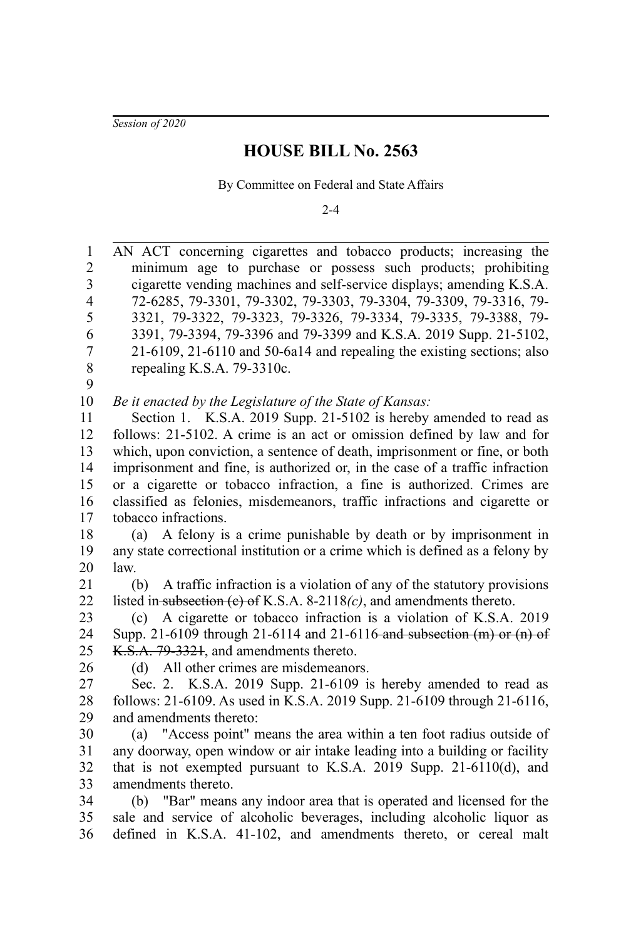*Session of 2020*

## **HOUSE BILL No. 2563**

By Committee on Federal and State Affairs

 $2 - 4$ 

AN ACT concerning cigarettes and tobacco products; increasing the minimum age to purchase or possess such products; prohibiting cigarette vending machines and self-service displays; amending K.S.A. 72-6285, 79-3301, 79-3302, 79-3303, 79-3304, 79-3309, 79-3316, 79- 3321, 79-3322, 79-3323, 79-3326, 79-3334, 79-3335, 79-3388, 79- 3391, 79-3394, 79-3396 and 79-3399 and K.S.A. 2019 Supp. 21-5102, 21-6109, 21-6110 and 50-6a14 and repealing the existing sections; also repealing K.S.A. 79-3310c. *Be it enacted by the Legislature of the State of Kansas:* Section 1. K.S.A. 2019 Supp. 21-5102 is hereby amended to read as follows: 21-5102. A crime is an act or omission defined by law and for which, upon conviction, a sentence of death, imprisonment or fine, or both imprisonment and fine, is authorized or, in the case of a traffic infraction or a cigarette or tobacco infraction, a fine is authorized. Crimes are classified as felonies, misdemeanors, traffic infractions and cigarette or tobacco infractions. (a) A felony is a crime punishable by death or by imprisonment in any state correctional institution or a crime which is defined as a felony by law. (b) A traffic infraction is a violation of any of the statutory provisions listed in subsection (c) of K.S.A. 8-2118*(c)*, and amendments thereto. (c) A cigarette or tobacco infraction is a violation of K.S.A. 2019 Supp. 21-6109 through 21-6114 and 21-6116 and subsection (m) or (n) of K.S.A. 79-3321, and amendments thereto. (d) All other crimes are misdemeanors. Sec. 2. K.S.A. 2019 Supp. 21-6109 is hereby amended to read as follows: 21-6109. As used in K.S.A. 2019 Supp. 21-6109 through 21-6116, and amendments thereto: (a) "Access point" means the area within a ten foot radius outside of any doorway, open window or air intake leading into a building or facility that is not exempted pursuant to K.S.A. 2019 Supp. 21-6110(d), and amendments thereto. (b) "Bar" means any indoor area that is operated and licensed for the sale and service of alcoholic beverages, including alcoholic liquor as defined in K.S.A. 41-102, and amendments thereto, or cereal malt 1 2 3 4 5 6 7 8 9 10 11 12 13 14 15 16 17 18 19 20 21 22 23 24 25 26 27 28 29 30 31 32 33 34 35 36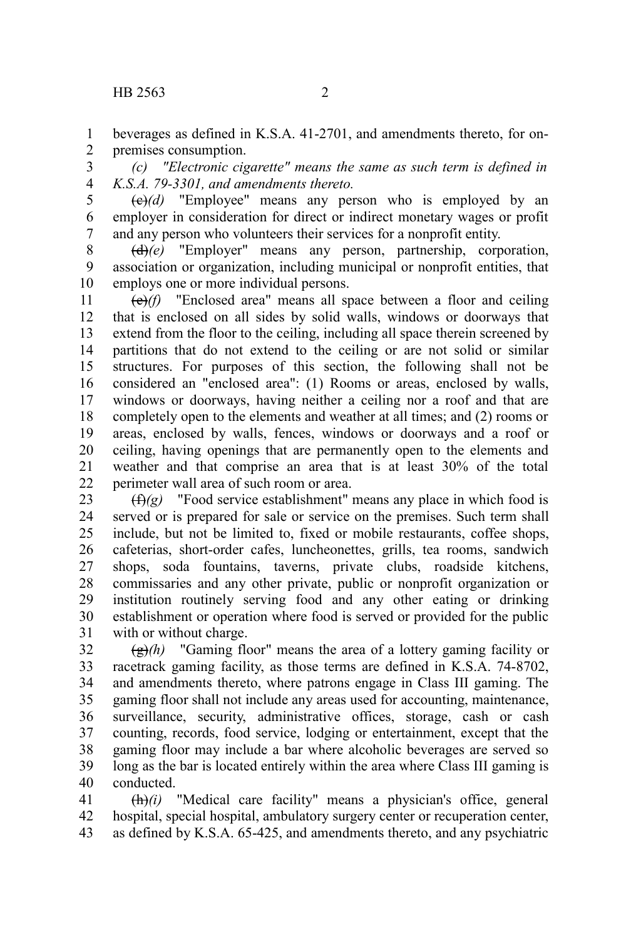beverages as defined in K.S.A. 41-2701, and amendments thereto, for onpremises consumption. 1 2

*(c) "Electronic cigarette" means the same as such term is defined in K.S.A. 79-3301, and amendments thereto.* 3 4

 $(e)(d)$  "Employee" means any person who is employed by an employer in consideration for direct or indirect monetary wages or profit and any person who volunteers their services for a nonprofit entity. 5 6 7

(d)*(e)* "Employer" means any person, partnership, corporation, association or organization, including municipal or nonprofit entities, that employs one or more individual persons. 8 9 10

(e)*(f)* "Enclosed area" means all space between a floor and ceiling that is enclosed on all sides by solid walls, windows or doorways that extend from the floor to the ceiling, including all space therein screened by partitions that do not extend to the ceiling or are not solid or similar structures. For purposes of this section, the following shall not be considered an "enclosed area": (1) Rooms or areas, enclosed by walls, windows or doorways, having neither a ceiling nor a roof and that are completely open to the elements and weather at all times; and (2) rooms or areas, enclosed by walls, fences, windows or doorways and a roof or ceiling, having openings that are permanently open to the elements and weather and that comprise an area that is at least 30% of the total perimeter wall area of such room or area. 11 12 13 14 15 16 17 18 19 20 21 22

(f)*(g)* "Food service establishment" means any place in which food is served or is prepared for sale or service on the premises. Such term shall include, but not be limited to, fixed or mobile restaurants, coffee shops, cafeterias, short-order cafes, luncheonettes, grills, tea rooms, sandwich shops, soda fountains, taverns, private clubs, roadside kitchens, commissaries and any other private, public or nonprofit organization or institution routinely serving food and any other eating or drinking establishment or operation where food is served or provided for the public with or without charge. 23 24 25 26 27 28 29 30 31

(g)*(h)* "Gaming floor" means the area of a lottery gaming facility or racetrack gaming facility, as those terms are defined in K.S.A. 74-8702, and amendments thereto, where patrons engage in Class III gaming. The gaming floor shall not include any areas used for accounting, maintenance, surveillance, security, administrative offices, storage, cash or cash counting, records, food service, lodging or entertainment, except that the gaming floor may include a bar where alcoholic beverages are served so long as the bar is located entirely within the area where Class III gaming is conducted. 32 33 34 35 36 37 38 39 40

(h)*(i)* "Medical care facility" means a physician's office, general hospital, special hospital, ambulatory surgery center or recuperation center, as defined by K.S.A. 65-425, and amendments thereto, and any psychiatric 41 42 43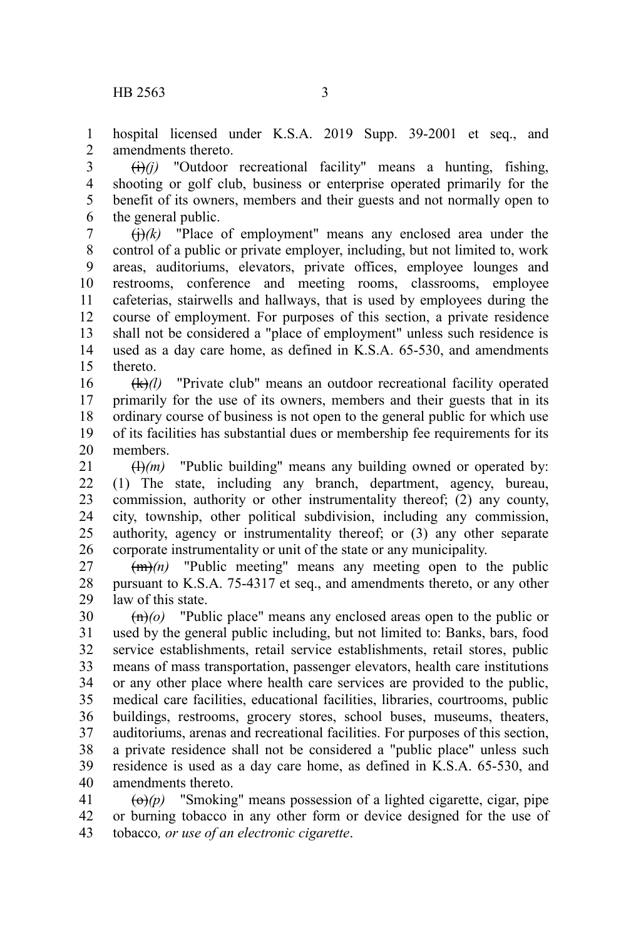hospital licensed under K.S.A. 2019 Supp. 39-2001 et seq., and amendments thereto. 1 2

 $\overrightarrow{(i)}$ *(i)* "Outdoor recreational facility" means a hunting, fishing, shooting or golf club, business or enterprise operated primarily for the benefit of its owners, members and their guests and not normally open to the general public. 3 4 5 6

 $\left(\frac{1}{i}\right)$  /(k) "Place of employment" means any enclosed area under the control of a public or private employer, including, but not limited to, work areas, auditoriums, elevators, private offices, employee lounges and restrooms, conference and meeting rooms, classrooms, employee cafeterias, stairwells and hallways, that is used by employees during the course of employment. For purposes of this section, a private residence shall not be considered a "place of employment" unless such residence is used as a day care home, as defined in K.S.A. 65-530, and amendments thereto. 7 8 9 10 11 12 13 14 15

(k)*(l)* "Private club" means an outdoor recreational facility operated primarily for the use of its owners, members and their guests that in its ordinary course of business is not open to the general public for which use of its facilities has substantial dues or membership fee requirements for its members. 16 17 18 19 20

 $(H)(m)$  "Public building" means any building owned or operated by: (1) The state, including any branch, department, agency, bureau, commission, authority or other instrumentality thereof; (2) any county, city, township, other political subdivision, including any commission, authority, agency or instrumentality thereof; or (3) any other separate corporate instrumentality or unit of the state or any municipality. 21 22 23 24 25 26

(m)*(n)* "Public meeting" means any meeting open to the public pursuant to K.S.A. 75-4317 et seq., and amendments thereto, or any other law of this state. 27 28 29

(n)*(o)* "Public place" means any enclosed areas open to the public or used by the general public including, but not limited to: Banks, bars, food service establishments, retail service establishments, retail stores, public means of mass transportation, passenger elevators, health care institutions or any other place where health care services are provided to the public, medical care facilities, educational facilities, libraries, courtrooms, public buildings, restrooms, grocery stores, school buses, museums, theaters, auditoriums, arenas and recreational facilities. For purposes of this section, a private residence shall not be considered a "public place" unless such residence is used as a day care home, as defined in K.S.A. 65-530, and amendments thereto. 30 31 32 33 34 35 36 37 38 39 40

 $\left(\Theta\right)(p)$  "Smoking" means possession of a lighted cigarette, cigar, pipe or burning tobacco in any other form or device designed for the use of tobacco*, or use of an electronic cigarette*. 41 42 43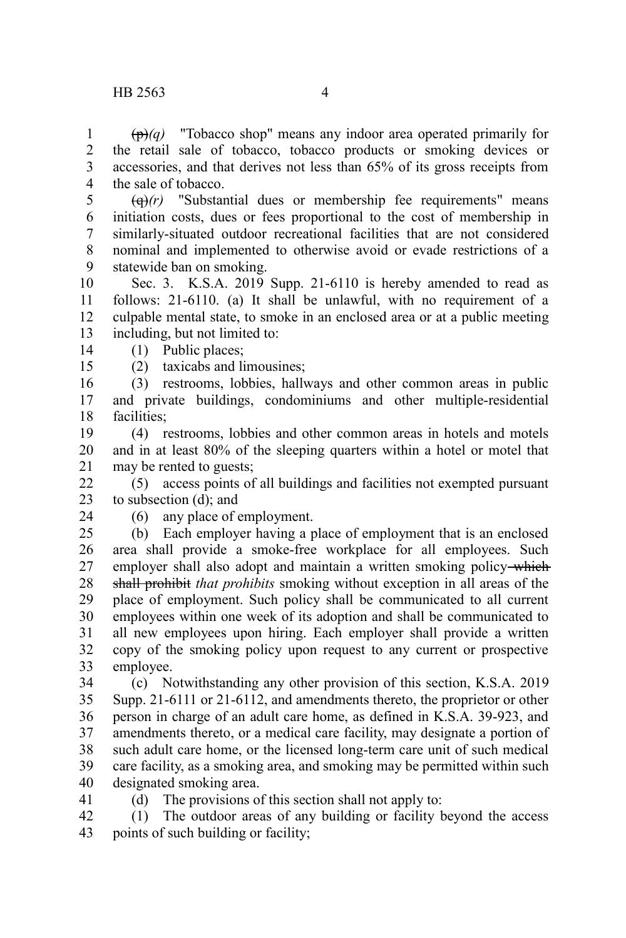(p)*(q)* "Tobacco shop" means any indoor area operated primarily for the retail sale of tobacco, tobacco products or smoking devices or accessories, and that derives not less than 65% of its gross receipts from the sale of tobacco. 1 2 3 4

(q)*(r)* "Substantial dues or membership fee requirements" means initiation costs, dues or fees proportional to the cost of membership in similarly-situated outdoor recreational facilities that are not considered nominal and implemented to otherwise avoid or evade restrictions of a statewide ban on smoking. 5 6 7 8 9

Sec. 3. K.S.A. 2019 Supp. 21-6110 is hereby amended to read as follows: 21-6110. (a) It shall be unlawful, with no requirement of a culpable mental state, to smoke in an enclosed area or at a public meeting including, but not limited to: 10 11 12 13

(1) Public places; 14

(2) taxicabs and limousines;

(3) restrooms, lobbies, hallways and other common areas in public and private buildings, condominiums and other multiple-residential facilities; 16 17 18

(4) restrooms, lobbies and other common areas in hotels and motels and in at least 80% of the sleeping quarters within a hotel or motel that may be rented to guests; 19 20 21

(5) access points of all buildings and facilities not exempted pursuant to subsection (d); and 22 23

24

15

(6) any place of employment.

(b) Each employer having a place of employment that is an enclosed area shall provide a smoke-free workplace for all employees. Such employer shall also adopt and maintain a written smoking policy-which shall prohibit *that prohibits* smoking without exception in all areas of the place of employment. Such policy shall be communicated to all current employees within one week of its adoption and shall be communicated to all new employees upon hiring. Each employer shall provide a written copy of the smoking policy upon request to any current or prospective employee. 25 26 27 28 29 30 31 32 33

(c) Notwithstanding any other provision of this section, K.S.A. 2019 Supp. 21-6111 or 21-6112, and amendments thereto, the proprietor or other person in charge of an adult care home, as defined in K.S.A. 39-923, and amendments thereto, or a medical care facility, may designate a portion of such adult care home, or the licensed long-term care unit of such medical care facility, as a smoking area, and smoking may be permitted within such designated smoking area. 34 35 36 37 38 39 40

41

(d) The provisions of this section shall not apply to:

(1) The outdoor areas of any building or facility beyond the access points of such building or facility; 42 43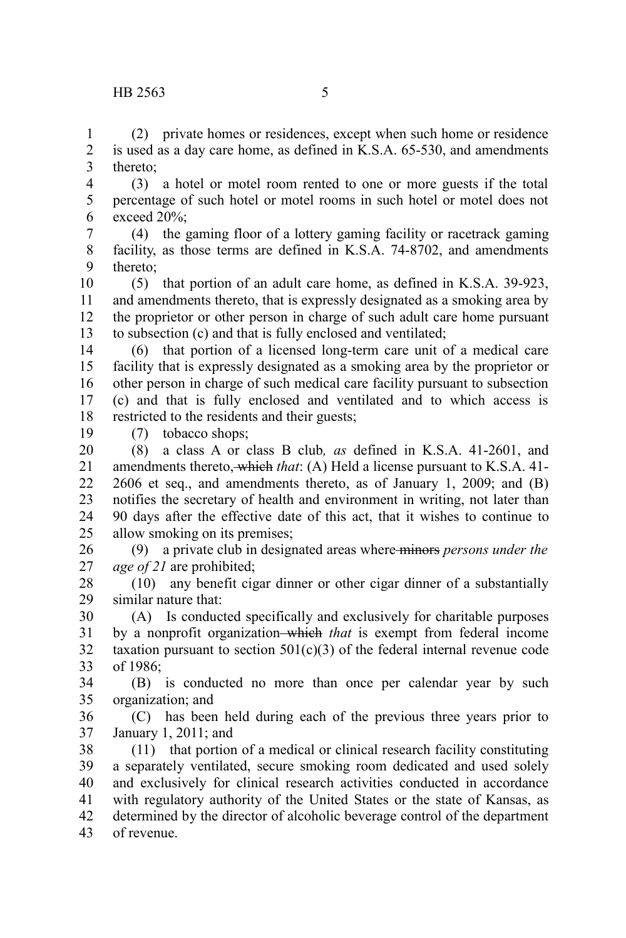(2) private homes or residences, except when such home or residence is used as a day care home, as defined in K.S.A. 65-530, and amendments thereto; 1 2 3

(3) a hotel or motel room rented to one or more guests if the total percentage of such hotel or motel rooms in such hotel or motel does not exceed 20%; 4 5 6

(4) the gaming floor of a lottery gaming facility or racetrack gaming facility, as those terms are defined in K.S.A. 74-8702, and amendments thereto; 7 8 9

(5) that portion of an adult care home, as defined in K.S.A. 39-923, and amendments thereto, that is expressly designated as a smoking area by the proprietor or other person in charge of such adult care home pursuant to subsection (c) and that is fully enclosed and ventilated; 10 11 12 13

(6) that portion of a licensed long-term care unit of a medical care facility that is expressly designated as a smoking area by the proprietor or other person in charge of such medical care facility pursuant to subsection (c) and that is fully enclosed and ventilated and to which access is restricted to the residents and their guests; 14 15 16 17 18

19

(7) tobacco shops;

(8) a class A or class B club*, as* defined in K.S.A. 41-2601, and amendments thereto, which *that*: (A) Held a license pursuant to K.S.A. 41- 2606 et seq., and amendments thereto, as of January 1, 2009; and (B) notifies the secretary of health and environment in writing, not later than 90 days after the effective date of this act, that it wishes to continue to allow smoking on its premises; 20 21 22 23 24 25

(9) a private club in designated areas where minors *persons under the age of 21* are prohibited; 26 27

(10) any benefit cigar dinner or other cigar dinner of a substantially similar nature that: 28 29

(A) Is conducted specifically and exclusively for charitable purposes by a nonprofit organization which *that* is exempt from federal income taxation pursuant to section  $501(c)(3)$  of the federal internal revenue code of 1986; 30 31 32 33

(B) is conducted no more than once per calendar year by such organization; and 34 35

(C) has been held during each of the previous three years prior to January 1, 2011; and 36 37

(11) that portion of a medical or clinical research facility constituting a separately ventilated, secure smoking room dedicated and used solely and exclusively for clinical research activities conducted in accordance with regulatory authority of the United States or the state of Kansas, as determined by the director of alcoholic beverage control of the department of revenue. 38 39 40 41 42 43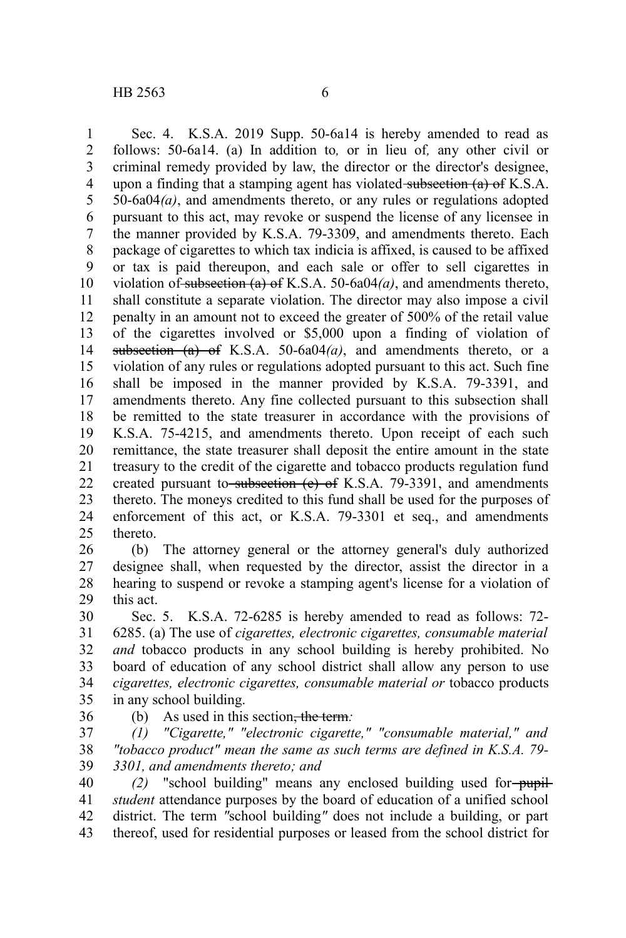Sec. 4. K.S.A. 2019 Supp. 50-6a14 is hereby amended to read as follows: 50-6a14. (a) In addition to*,* or in lieu of*,* any other civil or criminal remedy provided by law, the director or the director's designee, upon a finding that a stamping agent has violated subsection  $(a)$  of K.S.A. 50-6a04*(a)*, and amendments thereto, or any rules or regulations adopted pursuant to this act, may revoke or suspend the license of any licensee in the manner provided by K.S.A. 79-3309, and amendments thereto. Each package of cigarettes to which tax indicia is affixed, is caused to be affixed or tax is paid thereupon, and each sale or offer to sell cigarettes in violation of subsection (a) of K.S.A. 50-6a04*(a)*, and amendments thereto, shall constitute a separate violation. The director may also impose a civil penalty in an amount not to exceed the greater of 500% of the retail value of the cigarettes involved or \$5,000 upon a finding of violation of subsection (a) of K.S.A. 50-6a04(a), and amendments thereto, or a violation of any rules or regulations adopted pursuant to this act. Such fine shall be imposed in the manner provided by K.S.A. 79-3391, and amendments thereto. Any fine collected pursuant to this subsection shall be remitted to the state treasurer in accordance with the provisions of K.S.A. 75-4215, and amendments thereto. Upon receipt of each such remittance, the state treasurer shall deposit the entire amount in the state treasury to the credit of the cigarette and tobacco products regulation fund created pursuant to subsection  $(e)$  of K.S.A. 79-3391, and amendments thereto. The moneys credited to this fund shall be used for the purposes of enforcement of this act, or K.S.A. 79-3301 et seq., and amendments thereto. 1 2 3 4 5 6 7 8 9 10 11 12 13 14 15 16 17 18 19 20 21 22 23 24 25

(b) The attorney general or the attorney general's duly authorized designee shall, when requested by the director, assist the director in a hearing to suspend or revoke a stamping agent's license for a violation of this act. 26 27 28 29

Sec. 5. K.S.A. 72-6285 is hereby amended to read as follows: 72- 6285. (a) The use of *cigarettes, electronic cigarettes, consumable material and* tobacco products in any school building is hereby prohibited. No board of education of any school district shall allow any person to use *cigarettes, electronic cigarettes, consumable material or* tobacco products in any school building. 30 31 32 33 34 35

36

(b) As used in this section, the term*:*

*(1) "Cigarette," "electronic cigarette," "consumable material," and "tobacco product" mean the same as such terms are defined in K.S.A. 79- 3301, and amendments thereto; and* 37 38 39

*(2)* "school building" means any enclosed building used for-pupil*student* attendance purposes by the board of education of a unified school district. The term *"*school building*"* does not include a building, or part thereof, used for residential purposes or leased from the school district for 40 41 42 43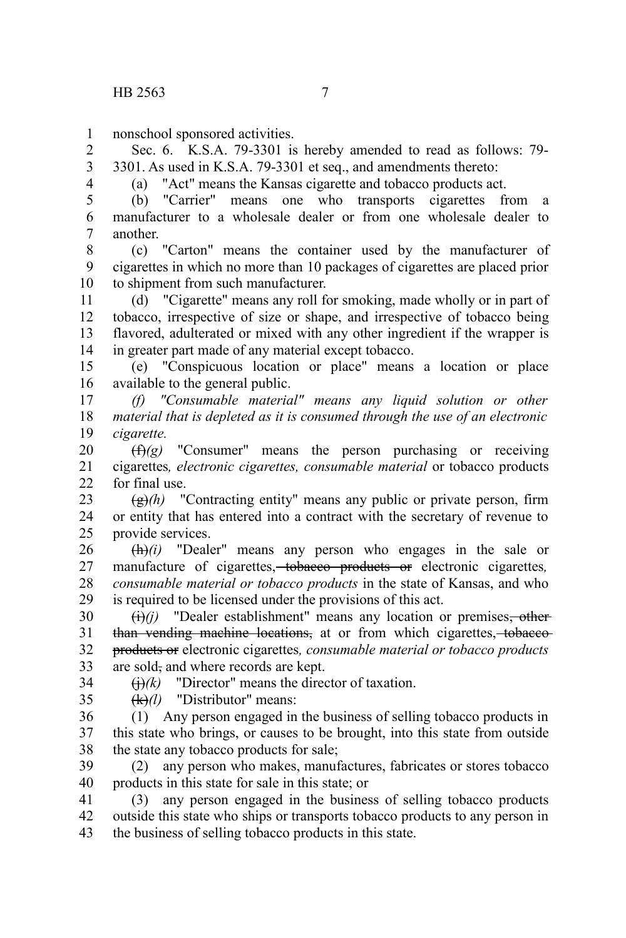nonschool sponsored activities. 1

Sec. 6. K.S.A. 79-3301 is hereby amended to read as follows: 79- 3301. As used in K.S.A. 79-3301 et seq., and amendments thereto: 2 3 4

(a) "Act" means the Kansas cigarette and tobacco products act.

(b) "Carrier" means one who transports cigarettes from a manufacturer to a wholesale dealer or from one wholesale dealer to another. 5 6 7

(c) "Carton" means the container used by the manufacturer of cigarettes in which no more than 10 packages of cigarettes are placed prior to shipment from such manufacturer. 8 9 10

(d) "Cigarette" means any roll for smoking, made wholly or in part of tobacco, irrespective of size or shape, and irrespective of tobacco being flavored, adulterated or mixed with any other ingredient if the wrapper is in greater part made of any material except tobacco. 11 12 13 14

(e) "Conspicuous location or place" means a location or place available to the general public. 15 16

*(f) "Consumable material" means any liquid solution or other material that is depleted as it is consumed through the use of an electronic cigarette.* 17 18 19

(f)*(g)* "Consumer" means the person purchasing or receiving cigarettes*, electronic cigarettes, consumable material* or tobacco products for final use. 20 21  $22$ 

(g)*(h)* "Contracting entity" means any public or private person, firm or entity that has entered into a contract with the secretary of revenue to provide services. 23 24 25

(h)*(i)* "Dealer" means any person who engages in the sale or manufacture of cigarettes, tobacco products or electronic cigarettes*, consumable material or tobacco products* in the state of Kansas, and who is required to be licensed under the provisions of this act. 26 27 28 29

 $(i)$ *(i)* "Dealer establishment" means any location or premises, other than vending machine locations, at or from which cigarettes, to baccoproducts or electronic cigarettes*, consumable material or tobacco products* are sold, and where records are kept. 30 31 32 33 34

 $\Theta(k)$  "Director" means the director of taxation.

35

(k)*(l)* "Distributor" means:

(1) Any person engaged in the business of selling tobacco products in this state who brings, or causes to be brought, into this state from outside the state any tobacco products for sale; 36 37 38

(2) any person who makes, manufactures, fabricates or stores tobacco products in this state for sale in this state; or 39 40

(3) any person engaged in the business of selling tobacco products outside this state who ships or transports tobacco products to any person in the business of selling tobacco products in this state. 41 42 43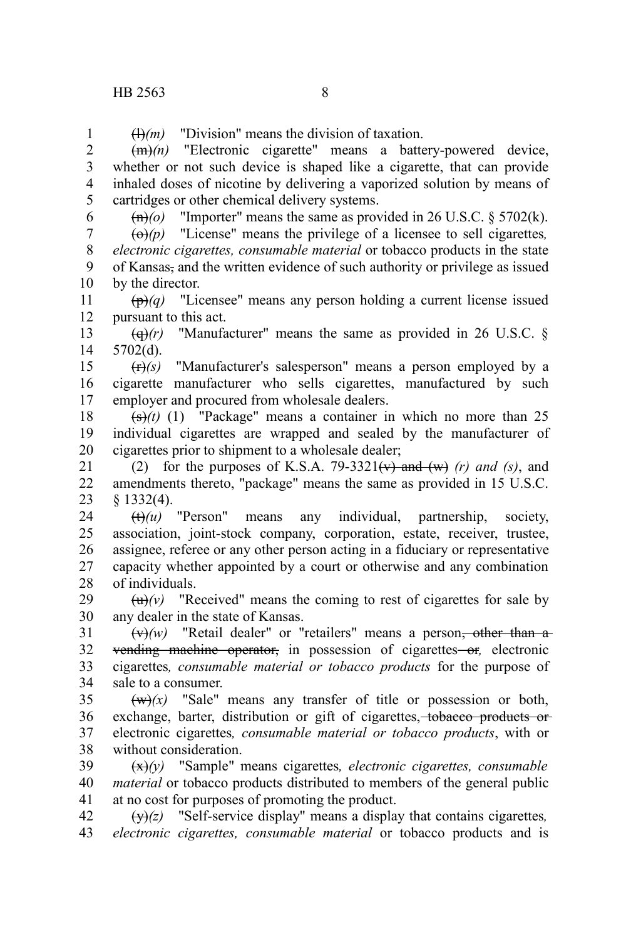(l)*(m)* "Division" means the division of taxation. 1

(m)*(n)* "Electronic cigarette" means a battery-powered device, whether or not such device is shaped like a cigarette, that can provide inhaled doses of nicotine by delivering a vaporized solution by means of cartridges or other chemical delivery systems. 2 3 4 5

6

 $\left(\frac{m}{o}\right)$  "Importer" means the same as provided in 26 U.S.C. § 5702(k).

 $\left(\Theta\right)(p)$  "License" means the privilege of a licensee to sell cigarettes, *electronic cigarettes, consumable material* or tobacco products in the state of Kansas, and the written evidence of such authority or privilege as issued by the director. 7 8 9 10

(p)*(q)* "Licensee" means any person holding a current license issued pursuant to this act. 11 12

 $\left(\frac{d}{r}\right)$  "Manufacturer" means the same as provided in 26 U.S.C. § 5702(d). 13 14

(r)*(s)* "Manufacturer's salesperson" means a person employed by a cigarette manufacturer who sells cigarettes, manufactured by such employer and procured from wholesale dealers. 15 16 17

 $(\frac{1}{5})(t)$  (1) "Package" means a container in which no more than 25 individual cigarettes are wrapped and sealed by the manufacturer of cigarettes prior to shipment to a wholesale dealer; 18 19 20

(2) for the purposes of K.S.A.  $79-3321(v)$  and  $(w)$  (r) and (s), and amendments thereto, "package" means the same as provided in 15 U.S.C. § 1332(4). 21 22 23

(t)*(u)* "Person" means any individual, partnership, society, association, joint-stock company, corporation, estate, receiver, trustee, assignee, referee or any other person acting in a fiduciary or representative capacity whether appointed by a court or otherwise and any combination of individuals. 24 25 26 27 28

 $(u)(v)$  "Received" means the coming to rest of cigarettes for sale by any dealer in the state of Kansas. 29 30

 $(x)$ *(w)* "Retail dealer" or "retailers" means a person<del>, other than a</del> vending machine operator, in possession of cigarettes or, electronic cigarettes*, consumable material or tobacco products* for the purpose of sale to a consumer. 31 32 33 34

 $(w)(x)$  "Sale" means any transfer of title or possession or both, exchange, barter, distribution or gift of cigarettes, to bacco products or electronic cigarettes*, consumable material or tobacco products*, with or without consideration. 35 36 37 38

(x)*(y)* "Sample" means cigarettes*, electronic cigarettes, consumable material* or tobacco products distributed to members of the general public at no cost for purposes of promoting the product. 39 40 41

(y)*(z)* "Self-service display" means a display that contains cigarettes*, electronic cigarettes, consumable material* or tobacco products and is 42 43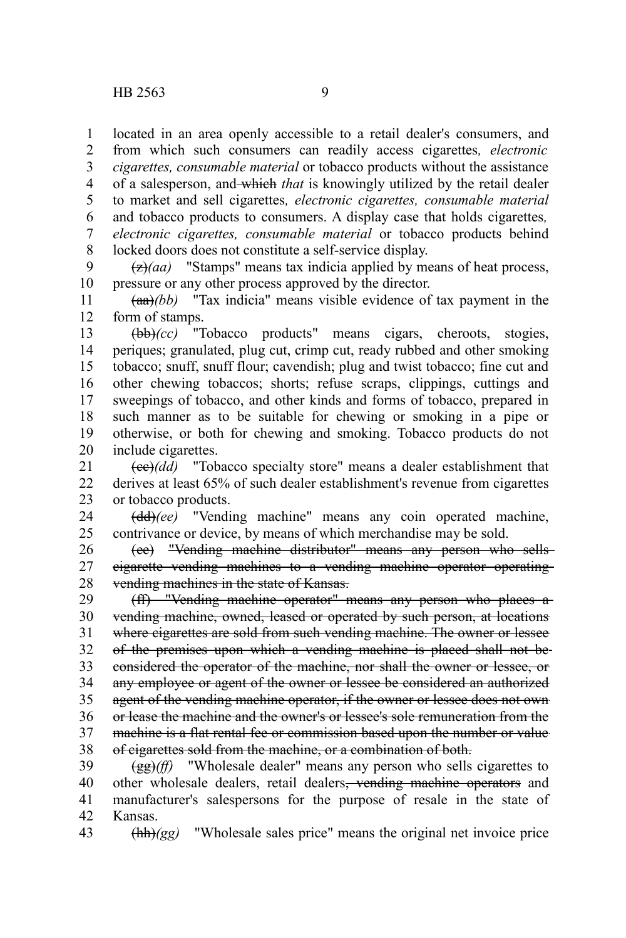located in an area openly accessible to a retail dealer's consumers, and from which such consumers can readily access cigarettes*, electronic* 1 2

*cigarettes, consumable material* or tobacco products without the assistance of a salesperson, and which *that* is knowingly utilized by the retail dealer to market and sell cigarettes*, electronic cigarettes, consumable material* and tobacco products to consumers. A display case that holds cigarettes*, electronic cigarettes, consumable material* or tobacco products behind locked doors does not constitute a self-service display. 3 4 5 6 7 8

(z)*(aa)* "Stamps" means tax indicia applied by means of heat process, pressure or any other process approved by the director. 9 10

 $(aa)(bb)$  "Tax indicia" means visible evidence of tax payment in the form of stamps. 11 12

(bb)*(cc)* "Tobacco products" means cigars, cheroots, stogies, periques; granulated, plug cut, crimp cut, ready rubbed and other smoking tobacco; snuff, snuff flour; cavendish; plug and twist tobacco; fine cut and other chewing tobaccos; shorts; refuse scraps, clippings, cuttings and sweepings of tobacco, and other kinds and forms of tobacco, prepared in such manner as to be suitable for chewing or smoking in a pipe or otherwise, or both for chewing and smoking. Tobacco products do not include cigarettes. 13 14 15 16 17 18 19 20

(cc)*(dd)* "Tobacco specialty store" means a dealer establishment that derives at least 65% of such dealer establishment's revenue from cigarettes or tobacco products. 21 22 23

(dd)*(ee)* "Vending machine" means any coin operated machine, contrivance or device, by means of which merchandise may be sold. 24 25

(ee) "Vending machine distributor" means any person who sells cigarette vending machines to a vending machine operator operating vending machines in the state of Kansas. 26 27 28

(ff) "Vending machine operator" means any person who places a vending machine, owned, leased or operated by such person, at locations where cigarettes are sold from such vending machine. The owner or lessee of the premises upon which a vending machine is placed shall not be considered the operator of the machine, nor shall the owner or lessee, or any employee or agent of the owner or lessee be considered an authorized agent of the vending machine operator, if the owner or lessee does not own or lease the machine and the owner's or lessee's sole remuneration from the machine is a flat rental fee or commission based upon the number or value of cigarettes sold from the machine, or a combination of both. 29 30 31 32 33 34 35 36 37 38

(gg)*(ff)* "Wholesale dealer" means any person who sells cigarettes to other wholesale dealers, retail dealers<del>, vending machine operators</del> and manufacturer's salespersons for the purpose of resale in the state of Kansas. 39 40 41 42

(hh)*(gg)* "Wholesale sales price" means the original net invoice price 43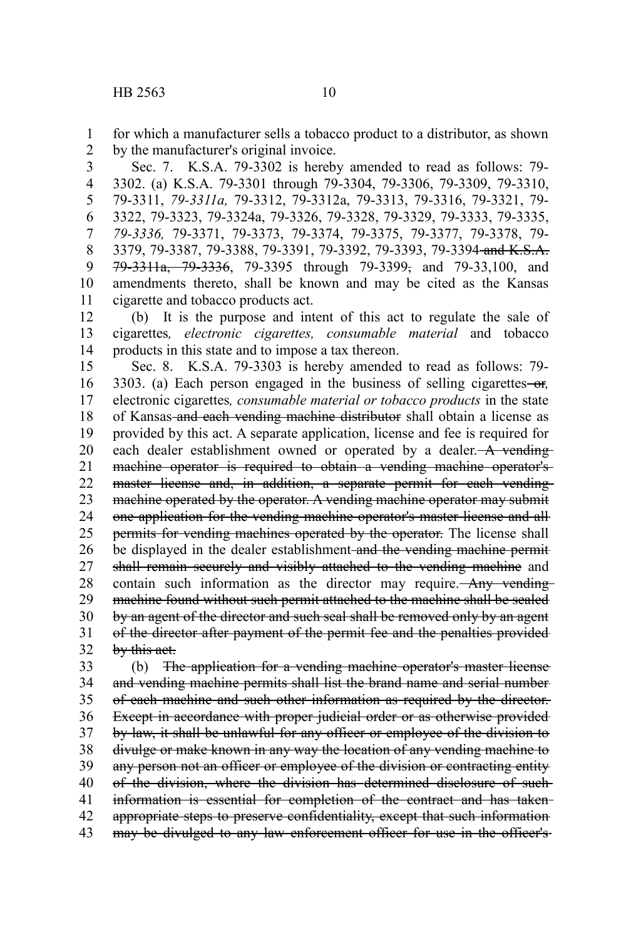for which a manufacturer sells a tobacco product to a distributor, as shown by the manufacturer's original invoice. 1 2

Sec. 7. K.S.A. 79-3302 is hereby amended to read as follows: 79- 3302. (a) K.S.A. 79-3301 through 79-3304, 79-3306, 79-3309, 79-3310, 79-3311, *79-3311a,* 79-3312, 79-3312a, 79-3313, 79-3316, 79-3321, 79- 3322, 79-3323, 79-3324a, 79-3326, 79-3328, 79-3329, 79-3333, 79-3335, *79-3336,* 79-3371, 79-3373, 79-3374, 79-3375, 79-3377, 79-3378, 79- 3379, 79-3387, 79-3388, 79-3391, 79-3392, 79-3393, 79-3394 and K.S.A. 79-3311a, 79-3336, 79-3395 through 79-3399, and 79-33,100, and amendments thereto, shall be known and may be cited as the Kansas cigarette and tobacco products act. 3 4 5 6 7 8 9 10 11

(b) It is the purpose and intent of this act to regulate the sale of cigarettes*, electronic cigarettes, consumable material* and tobacco products in this state and to impose a tax thereon. 12 13 14

Sec. 8. K.S.A. 79-3303 is hereby amended to read as follows: 79- 3303. (a) Each person engaged in the business of selling cigarettes or*,* electronic cigarettes*, consumable material or tobacco products* in the state of Kansas and each vending machine distributor shall obtain a license as provided by this act. A separate application, license and fee is required for each dealer establishment owned or operated by a dealer. A vending machine operator is required to obtain a vending machine operator's master license and, in addition, a separate permit for each vendingmachine operated by the operator. A vending machine operator may submit one application for the vending machine operator's master license and all permits for vending machines operated by the operator. The license shall be displayed in the dealer establishment and the vending machine permitshall remain securely and visibly attached to the vending machine and contain such information as the director may require. Any vending machine found without such permit attached to the machine shall be sealed by an agent of the director and such seal shall be removed only by an agent of the director after payment of the permit fee and the penalties provided by this act. 15 16 17 18 19 20 21 22 23 24 25 26 27 28 29 30 31 32

(b) The application for a vending machine operator's master license and vending machine permits shall list the brand name and serial number of each machine and such other information as required by the director. Except in accordance with proper judicial order or as otherwise provided by law, it shall be unlawful for any officer or employee of the division to divulge or make known in any way the location of any vending machine to any person not an officer or employee of the division or contracting entity of the division, where the division has determined disclosure of such information is essential for completion of the contract and has taken appropriate steps to preserve confidentiality, except that such information may be divulged to any law enforcement officer for use in the officer's 33 34 35 36 37 38 39 40 41 42 43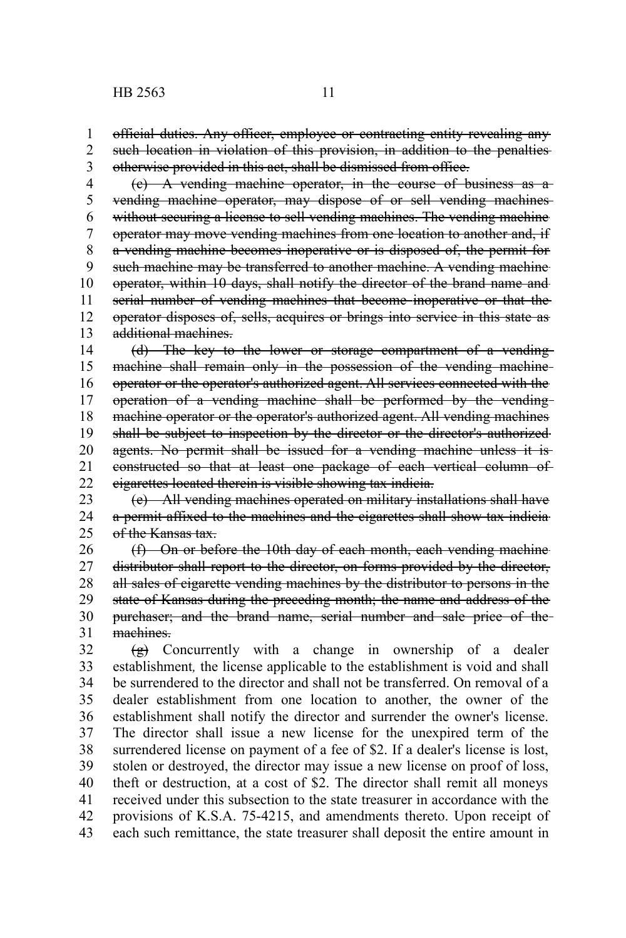official duties. Any officer, employee or contracting entity revealing any such location in violation of this provision, in addition to the penalties otherwise provided in this act, shall be dismissed from office. 1 2 3

(c) A vending machine operator, in the course of business as a vending machine operator, may dispose of or sell vending machines without securing a license to sell vending machines. The vending machine operator may move vending machines from one location to another and, if a vending machine becomes inoperative or is disposed of, the permit for such machine may be transferred to another machine. A vending machine operator, within 10 days, shall notify the director of the brand name and serial number of vending machines that become inoperative or that the operator disposes of, sells, acquires or brings into service in this state as additional machines. 4 5 6 7 8 9 10 11 12 13

(d) The key to the lower or storage compartment of a vending machine shall remain only in the possession of the vending machine operator or the operator's authorized agent. All services connected with the operation of a vending machine shall be performed by the vending machine operator or the operator's authorized agent. All vending machines shall be subject to inspection by the director or the director's authorized agents. No permit shall be issued for a vending machine unless it isconstructed so that at least one package of each vertical column of cigarettes located therein is visible showing tax indicia. 14 15 16 17 18 19 20 21 22

(e) All vending machines operated on military installations shall have a permit affixed to the machines and the cigarettes shall show tax indicia of the Kansas tax. 23 24 25

(f) On or before the 10th day of each month, each vending machine distributor shall report to the director, on forms provided by the director, all sales of cigarette vending machines by the distributor to persons in the state of Kansas during the preceding month; the name and address of the purchaser; and the brand name, serial number and sale price of the machines. 26 27 28 29 30 31

(g) Concurrently with a change in ownership of a dealer establishment*,* the license applicable to the establishment is void and shall be surrendered to the director and shall not be transferred. On removal of a dealer establishment from one location to another, the owner of the establishment shall notify the director and surrender the owner's license. The director shall issue a new license for the unexpired term of the surrendered license on payment of a fee of \$2. If a dealer's license is lost, stolen or destroyed, the director may issue a new license on proof of loss, theft or destruction, at a cost of \$2. The director shall remit all moneys received under this subsection to the state treasurer in accordance with the provisions of K.S.A. 75-4215, and amendments thereto. Upon receipt of each such remittance, the state treasurer shall deposit the entire amount in 32 33 34 35 36 37 38 39 40 41 42 43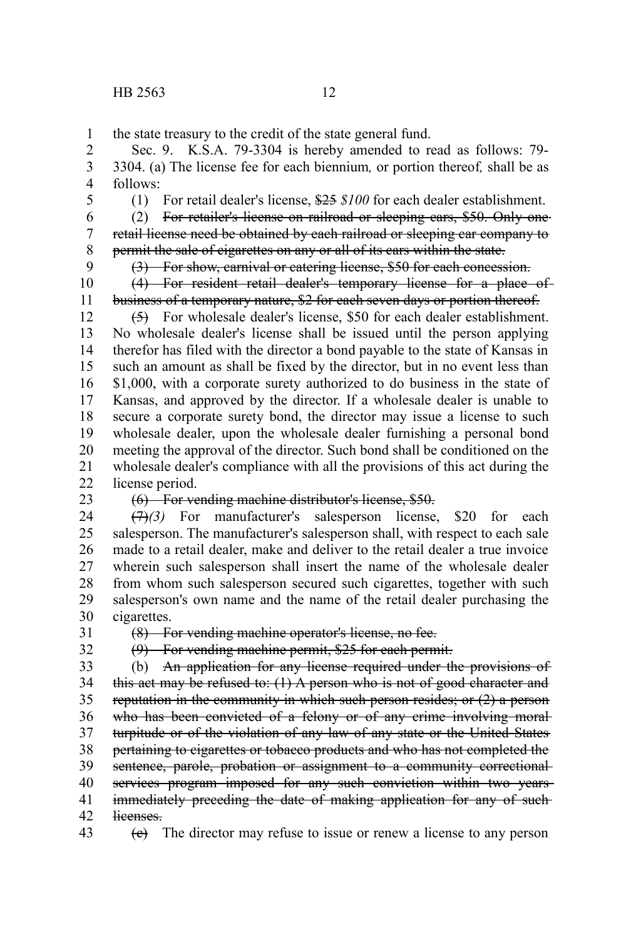the state treasury to the credit of the state general fund. 1

Sec. 9. K.S.A. 79-3304 is hereby amended to read as follows: 79- 3304. (a) The license fee for each biennium*,* or portion thereof*,* shall be as follows: 2 3 4

5

(1) For retail dealer's license, \$25 *\$100* for each dealer establishment.

(2) For retailer's license on railroad or sleeping cars, \$50. Only one retail license need be obtained by each railroad or sleeping car company to permit the sale of cigarettes on any or all of its cars within the state. 6 7 8

9 10

11

(3) For show, carnival or catering license, \$50 for each concession. (4) For resident retail dealer's temporary license for a place of business of a temporary nature, \$2 for each seven days or portion thereof.

(5) For wholesale dealer's license, \$50 for each dealer establishment. No wholesale dealer's license shall be issued until the person applying therefor has filed with the director a bond payable to the state of Kansas in such an amount as shall be fixed by the director, but in no event less than \$1,000, with a corporate surety authorized to do business in the state of Kansas, and approved by the director. If a wholesale dealer is unable to secure a corporate surety bond, the director may issue a license to such wholesale dealer, upon the wholesale dealer furnishing a personal bond meeting the approval of the director. Such bond shall be conditioned on the wholesale dealer's compliance with all the provisions of this act during the license period. 12 13 14 15 16 17 18 19 20 21  $22$ 

23

## (6) For vending machine distributor's license, \$50.

(7)*(3)* For manufacturer's salesperson license, \$20 for each salesperson. The manufacturer's salesperson shall, with respect to each sale made to a retail dealer, make and deliver to the retail dealer a true invoice wherein such salesperson shall insert the name of the wholesale dealer from whom such salesperson secured such cigarettes, together with such salesperson's own name and the name of the retail dealer purchasing the cigarettes. 24 25 26 27 28 29 30

31 32 (8) For vending machine operator's license, no fee.

(9) For vending machine permit, \$25 for each permit.

(b) An application for any license required under the provisions of this act may be refused to:  $(1)$  A person who is not of good character and reputation in the community in which such person resides; or (2) a person who has been convicted of a felony or of any crime involving moralturpitude or of the violation of any law of any state or the United States pertaining to cigarettes or tobacco products and who has not completed the sentence, parole, probation or assignment to a community correctionalservices program imposed for any such conviction within two yearsimmediately preceding the date of making application for any of suchlicenses. 33 34 35 36 37 38 39 40 41 42

 $(e)$  The director may refuse to issue or renew a license to any person 43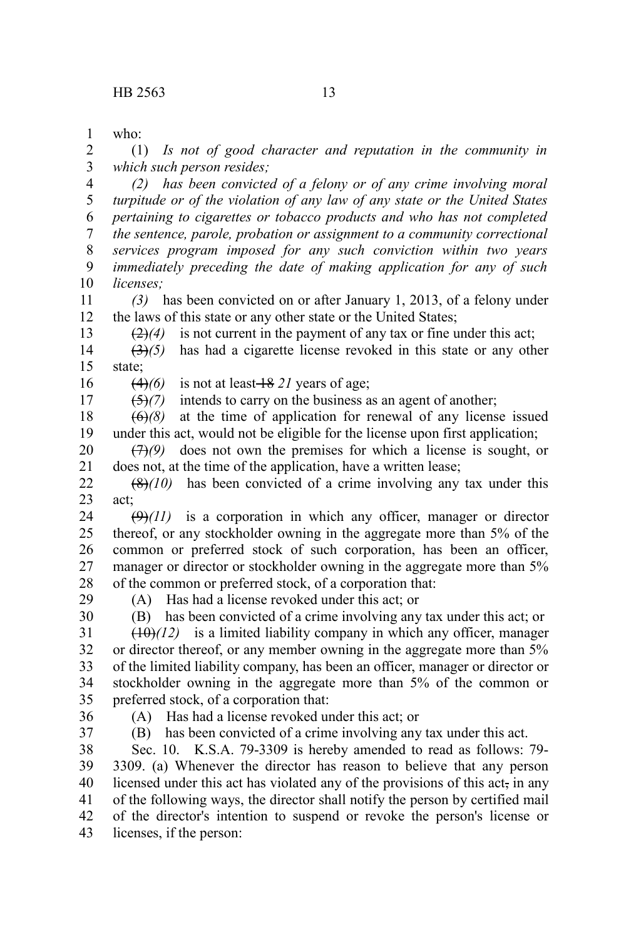who: 1

(1) *Is not of good character and reputation in the community in which such person resides;* 2 3

*(2) has been convicted of a felony or of any crime involving moral turpitude or of the violation of any law of any state or the United States pertaining to cigarettes or tobacco products and who has not completed the sentence, parole, probation or assignment to a community correctional services program imposed for any such conviction within two years immediately preceding the date of making application for any of such licenses;* 4 5 6 7 8 9 10

*(3)* has been convicted on or after January 1, 2013, of a felony under the laws of this state or any other state or the United States; 11 12 13

 $(2)(4)$  is not current in the payment of any tax or fine under this act;

(3)*(5)* has had a cigarette license revoked in this state or any other state; 14 15

 $(4)(6)$  is not at least  $\frac{18}{21}$  years of age; 16

(5)*(7)* intends to carry on the business as an agent of another; 17

 $\overline{(6)}$ (8) at the time of application for renewal of any license issued under this act, would not be eligible for the license upon first application; 18 19

(7)*(9)* does not own the premises for which a license is sought, or does not, at the time of the application, have a written lease; 20 21

(8)*(10)* has been convicted of a crime involving any tax under this act; 22 23

 $(9)$  $(11)$  is a corporation in which any officer, manager or director thereof, or any stockholder owning in the aggregate more than 5% of the common or preferred stock of such corporation, has been an officer, manager or director or stockholder owning in the aggregate more than 5% of the common or preferred stock, of a corporation that: 24 25 26 27 28

29

(A) Has had a license revoked under this act; or

30

(B) has been convicted of a crime involving any tax under this act; or  $(10)(12)$  is a limited liability company in which any officer, manager or director thereof, or any member owning in the aggregate more than 5% of the limited liability company, has been an officer, manager or director or 31 32 33

stockholder owning in the aggregate more than 5% of the common or preferred stock, of a corporation that: 34 35

36 37 (A) Has had a license revoked under this act; or

(B) has been convicted of a crime involving any tax under this act.

Sec. 10. K.S.A. 79-3309 is hereby amended to read as follows: 79- 3309. (a) Whenever the director has reason to believe that any person licensed under this act has violated any of the provisions of this act, in any of the following ways, the director shall notify the person by certified mail of the director's intention to suspend or revoke the person's license or licenses, if the person: 38 39 40 41 42 43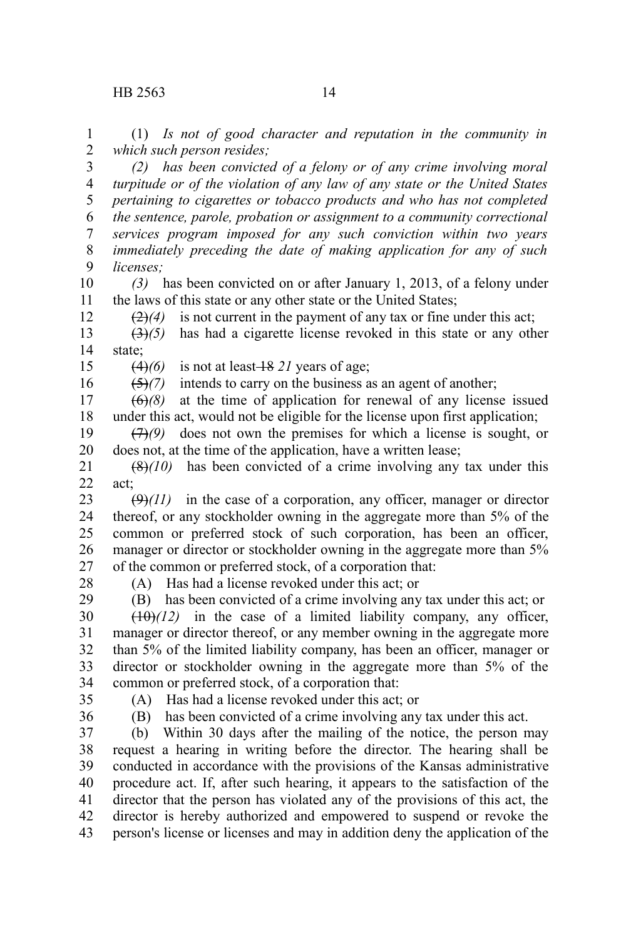(1) *Is not of good character and reputation in the community in which such person resides;* 1 2

*(2) has been convicted of a felony or of any crime involving moral turpitude or of the violation of any law of any state or the United States pertaining to cigarettes or tobacco products and who has not completed the sentence, parole, probation or assignment to a community correctional services program imposed for any such conviction within two years immediately preceding the date of making application for any of such licenses;* 3 4 5 6 7 8 9

*(3)* has been convicted on or after January 1, 2013, of a felony under the laws of this state or any other state or the United States; 10 11

 $\left(\frac{2}{2}\right)$  is not current in the payment of any tax or fine under this act;

(3)*(5)* has had a cigarette license revoked in this state or any other state; 13 14

 $(4)(6)$  is not at least  $\frac{18}{21}$  years of age;

(5)*(7)* intends to carry on the business as an agent of another; 16

 $(6)$ *(8)* at the time of application for renewal of any license issued under this act, would not be eligible for the license upon first application; 17 18

(7)*(9)* does not own the premises for which a license is sought, or does not, at the time of the application, have a written lease; 19 20

 $(8)(10)$  has been convicted of a crime involving any tax under this act; 21 22

 $(\Theta)(11)$  in the case of a corporation, any officer, manager or director thereof, or any stockholder owning in the aggregate more than 5% of the common or preferred stock of such corporation, has been an officer, manager or director or stockholder owning in the aggregate more than 5% of the common or preferred stock, of a corporation that: 23 24 25 26 27

28

12

15

(A) Has had a license revoked under this act; or

(B) has been convicted of a crime involving any tax under this act; or  $(10)(12)$  in the case of a limited liability company, any officer, manager or director thereof, or any member owning in the aggregate more than 5% of the limited liability company, has been an officer, manager or director or stockholder owning in the aggregate more than 5% of the common or preferred stock, of a corporation that: 29 30 31 32 33 34

35 36 (A) Has had a license revoked under this act; or

(B) has been convicted of a crime involving any tax under this act.

(b) Within 30 days after the mailing of the notice, the person may request a hearing in writing before the director. The hearing shall be conducted in accordance with the provisions of the Kansas administrative procedure act. If, after such hearing, it appears to the satisfaction of the director that the person has violated any of the provisions of this act, the director is hereby authorized and empowered to suspend or revoke the person's license or licenses and may in addition deny the application of the 37 38 39 40 41 42 43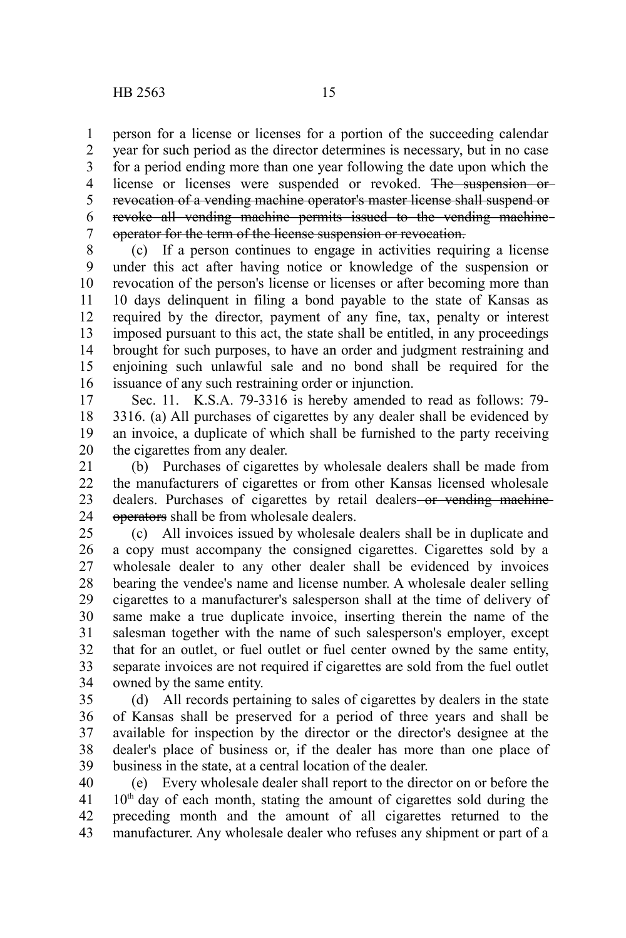person for a license or licenses for a portion of the succeeding calendar year for such period as the director determines is necessary, but in no case for a period ending more than one year following the date upon which the license or licenses were suspended or revoked. The suspension or revocation of a vending machine operator's master license shall suspend or revoke all vending machine permits issued to the vending machine operator for the term of the license suspension or revocation. 1 2 3 4 5 6 7

(c) If a person continues to engage in activities requiring a license under this act after having notice or knowledge of the suspension or revocation of the person's license or licenses or after becoming more than 10 days delinquent in filing a bond payable to the state of Kansas as required by the director, payment of any fine, tax, penalty or interest imposed pursuant to this act, the state shall be entitled, in any proceedings brought for such purposes, to have an order and judgment restraining and enjoining such unlawful sale and no bond shall be required for the issuance of any such restraining order or injunction. 8 9 10 11 12 13 14 15 16

Sec. 11. K.S.A. 79-3316 is hereby amended to read as follows: 79- 3316. (a) All purchases of cigarettes by any dealer shall be evidenced by an invoice, a duplicate of which shall be furnished to the party receiving the cigarettes from any dealer. 17 18 19 20

(b) Purchases of cigarettes by wholesale dealers shall be made from the manufacturers of cigarettes or from other Kansas licensed wholesale dealers. Purchases of cigarettes by retail dealers-or vending machineoperators shall be from wholesale dealers. 21 22 23 24

(c) All invoices issued by wholesale dealers shall be in duplicate and a copy must accompany the consigned cigarettes. Cigarettes sold by a wholesale dealer to any other dealer shall be evidenced by invoices bearing the vendee's name and license number. A wholesale dealer selling cigarettes to a manufacturer's salesperson shall at the time of delivery of same make a true duplicate invoice, inserting therein the name of the salesman together with the name of such salesperson's employer, except that for an outlet, or fuel outlet or fuel center owned by the same entity, separate invoices are not required if cigarettes are sold from the fuel outlet owned by the same entity. 25 26 27 28 29 30 31 32 33 34

(d) All records pertaining to sales of cigarettes by dealers in the state of Kansas shall be preserved for a period of three years and shall be available for inspection by the director or the director's designee at the dealer's place of business or, if the dealer has more than one place of business in the state, at a central location of the dealer. 35 36 37 38 39

(e) Every wholesale dealer shall report to the director on or before the  $10<sup>th</sup>$  day of each month, stating the amount of cigarettes sold during the preceding month and the amount of all cigarettes returned to the manufacturer. Any wholesale dealer who refuses any shipment or part of a 40 41 42 43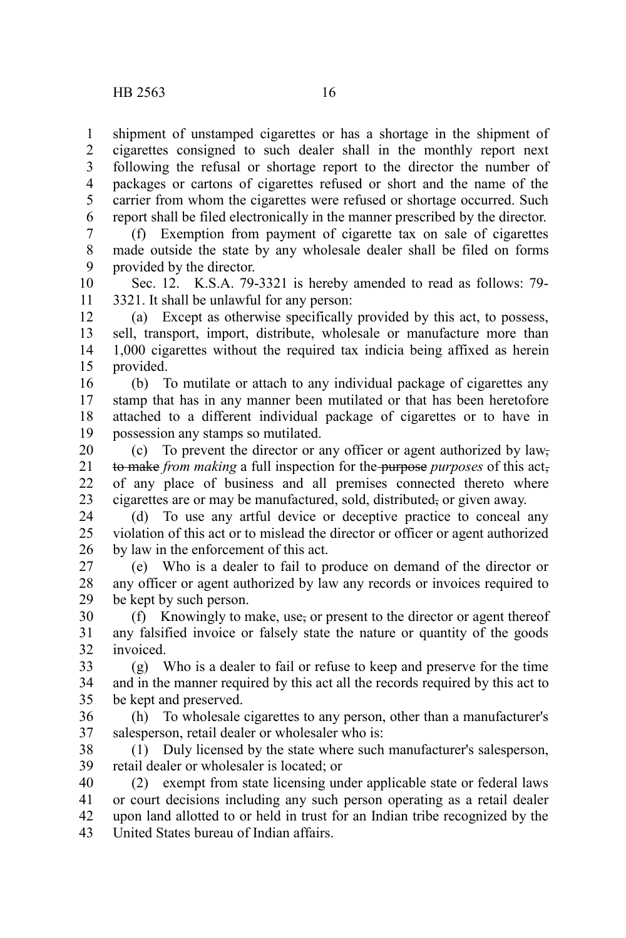shipment of unstamped cigarettes or has a shortage in the shipment of cigarettes consigned to such dealer shall in the monthly report next following the refusal or shortage report to the director the number of packages or cartons of cigarettes refused or short and the name of the carrier from whom the cigarettes were refused or shortage occurred. Such report shall be filed electronically in the manner prescribed by the director. 1 2 3 4 5 6

(f) Exemption from payment of cigarette tax on sale of cigarettes made outside the state by any wholesale dealer shall be filed on forms provided by the director. 7 8 9

Sec. 12. K.S.A. 79-3321 is hereby amended to read as follows: 79- 3321. It shall be unlawful for any person: 10 11

(a) Except as otherwise specifically provided by this act, to possess, sell, transport, import, distribute, wholesale or manufacture more than 1,000 cigarettes without the required tax indicia being affixed as herein provided. 12 13 14 15

(b) To mutilate or attach to any individual package of cigarettes any stamp that has in any manner been mutilated or that has been heretofore attached to a different individual package of cigarettes or to have in possession any stamps so mutilated. 16 17 18 19

(c) To prevent the director or any officer or agent authorized by law, to make *from making* a full inspection for the purpose *purposes* of this act, of any place of business and all premises connected thereto where cigarettes are or may be manufactured, sold, distributed, or given away. 20 21 22 23

(d) To use any artful device or deceptive practice to conceal any violation of this act or to mislead the director or officer or agent authorized by law in the enforcement of this act. 24  $25$ 26

(e) Who is a dealer to fail to produce on demand of the director or any officer or agent authorized by law any records or invoices required to be kept by such person. 27 28 29

(f) Knowingly to make, use, or present to the director or agent thereof any falsified invoice or falsely state the nature or quantity of the goods invoiced. 30 31 32

(g) Who is a dealer to fail or refuse to keep and preserve for the time and in the manner required by this act all the records required by this act to be kept and preserved. 33 34 35

(h) To wholesale cigarettes to any person, other than a manufacturer's salesperson, retail dealer or wholesaler who is: 36 37

(1) Duly licensed by the state where such manufacturer's salesperson, retail dealer or wholesaler is located; or 38 39

(2) exempt from state licensing under applicable state or federal laws or court decisions including any such person operating as a retail dealer upon land allotted to or held in trust for an Indian tribe recognized by the United States bureau of Indian affairs. 40 41 42 43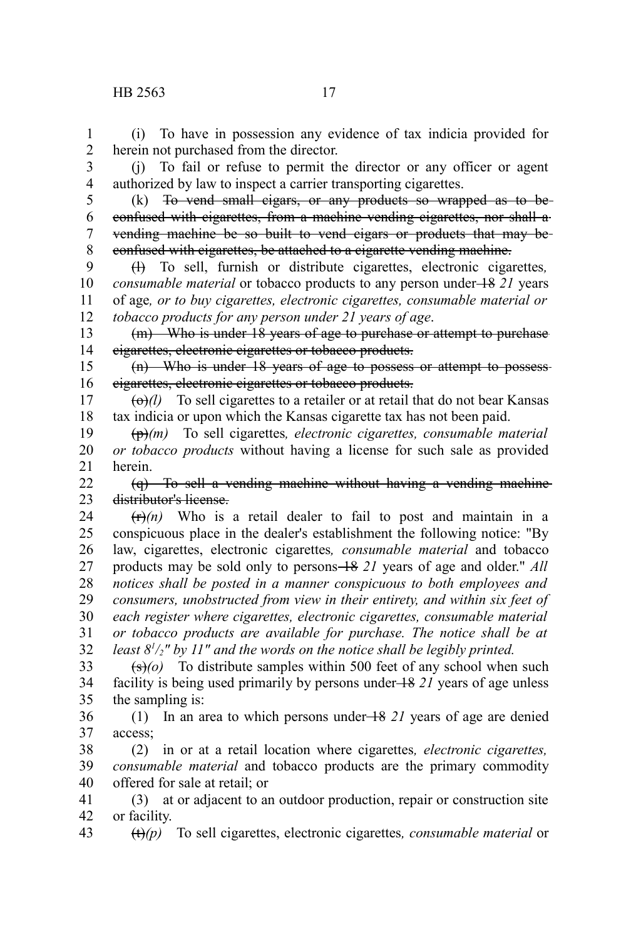(i) To have in possession any evidence of tax indicia provided for herein not purchased from the director. 1 2

3 4

5

authorized by law to inspect a carrier transporting cigarettes. (k) To vend small cigars, or any products so wrapped as to be confused with cigarettes, from a machine vending cigarettes, nor shall a vending machine be so built to vend cigars or products that may be confused with cigarettes, be attached to a cigarette vending machine. 6 7 8

(l) To sell, furnish or distribute cigarettes, electronic cigarettes*, consumable material* or tobacco products to any person under  $+8$  21 years of age*, or to buy cigarettes, electronic cigarettes, consumable material or tobacco products for any person under 21 years of age*. 9 10 11 12

(m) Who is under 18 years of age to purchase or attempt to purchase cigarettes, electronic cigarettes or tobacco products. 13 14

(n) Who is under 18 years of age to possess or attempt to possess cigarettes, electronic cigarettes or tobacco products. 15 16

 $\left(\frac{\theta}{\theta} \right)$  To sell cigarettes to a retailer or at retail that do not bear Kansas tax indicia or upon which the Kansas cigarette tax has not been paid. 17 18

(p)*(m)* To sell cigarettes*, electronic cigarettes, consumable material or tobacco products* without having a license for such sale as provided herein. 19 20 21

(q) To sell a vending machine without having a vending machine distributor's license. 22 23

 $(r\rightarrow f(n))$  Who is a retail dealer to fail to post and maintain in a conspicuous place in the dealer's establishment the following notice: "By law, cigarettes, electronic cigarettes*, consumable material* and tobacco products may be sold only to persons 18 *21* years of age and older." *All notices shall be posted in a manner conspicuous to both employees and consumers, unobstructed from view in their entirety, and within six feet of each register where cigarettes, electronic cigarettes, consumable material or tobacco products are available for purchase. The notice shall be at least 8<sup>1</sup> /2" by 11" and the words on the notice shall be legibly printed.* 24 25 26 27 28 29 30 31 32

 $\overline{(s)}$  (o) To distribute samples within 500 feet of any school when such facility is being used primarily by persons under 18 *21* years of age unless the sampling is: 33 34 35

(1) In an area to which persons under 18 *21* years of age are denied access; 36 37

(2) in or at a retail location where cigarettes*, electronic cigarettes, consumable material* and tobacco products are the primary commodity offered for sale at retail; or 38 39 40

(3) at or adjacent to an outdoor production, repair or construction site or facility. 41 42

(t)*(p)* To sell cigarettes, electronic cigarettes*, consumable material* or 43

(j) To fail or refuse to permit the director or any officer or agent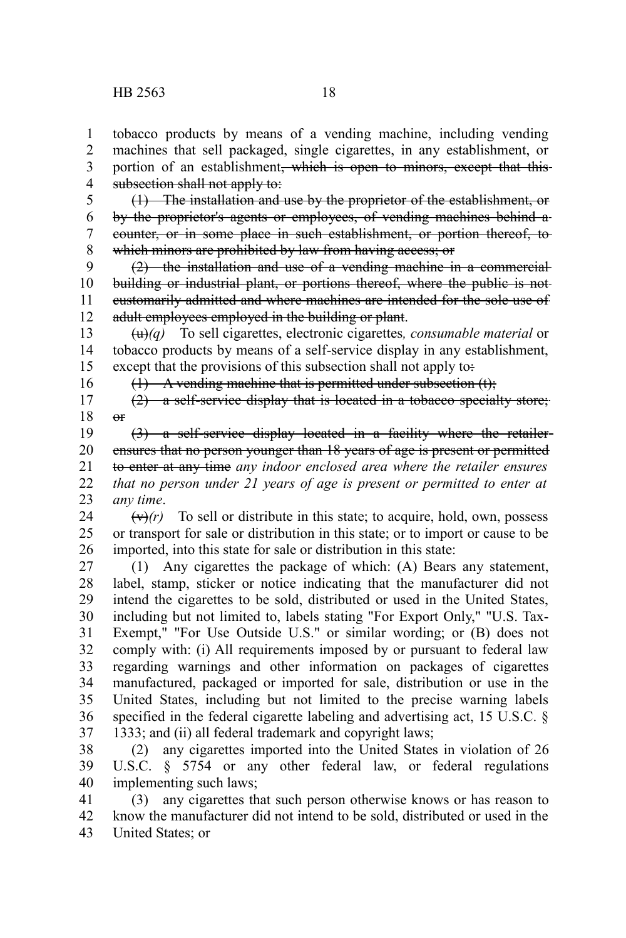16

tobacco products by means of a vending machine, including vending machines that sell packaged, single cigarettes, in any establishment, or portion of an establishment<del>, which is open to minors, except that this</del> subsection shall not apply to: 1 2 3 4

(1) The installation and use by the proprietor of the establishment, or by the proprietor's agents or employees, of vending machines behind a counter, or in some place in such establishment, or portion thereof, to which minors are prohibited by law from having access; or 5 6 7 8

(2) the installation and use of a vending machine in a commercial building or industrial plant, or portions thereof, where the public is not customarily admitted and where machines are intended for the sole use of adult employees employed in the building or plant. 9 10 11 12

(u)*(q)* To sell cigarettes, electronic cigarettes*, consumable material* or tobacco products by means of a self-service display in any establishment, except that the provisions of this subsection shall not apply to: 13 14 15

 $(1)$  A vending machine that is permitted under subsection  $(t)$ ;

(2) a self-service display that is located in a tobacco specialty store;  $\theta$ 17 18

(3) a self-service display located in a facility where the retailer ensures that no person younger than 18 years of age is present or permitted to enter at any time *any indoor enclosed area where the retailer ensures that no person under 21 years of age is present or permitted to enter at any time*. 19 20 21 22 23

 $(\forall r)(r)$  To sell or distribute in this state; to acquire, hold, own, possess or transport for sale or distribution in this state; or to import or cause to be imported, into this state for sale or distribution in this state: 24 25 26

(1) Any cigarettes the package of which: (A) Bears any statement, label, stamp, sticker or notice indicating that the manufacturer did not intend the cigarettes to be sold, distributed or used in the United States, including but not limited to, labels stating "For Export Only," "U.S. Tax-Exempt," "For Use Outside U.S." or similar wording; or (B) does not comply with: (i) All requirements imposed by or pursuant to federal law regarding warnings and other information on packages of cigarettes manufactured, packaged or imported for sale, distribution or use in the United States, including but not limited to the precise warning labels specified in the federal cigarette labeling and advertising act, 15 U.S.C. § 1333; and (ii) all federal trademark and copyright laws; 27 28 29 30 31 32 33 34 35 36 37

(2) any cigarettes imported into the United States in violation of 26 U.S.C. § 5754 or any other federal law, or federal regulations implementing such laws; 38 39 40

(3) any cigarettes that such person otherwise knows or has reason to know the manufacturer did not intend to be sold, distributed or used in the United States; or 41 42 43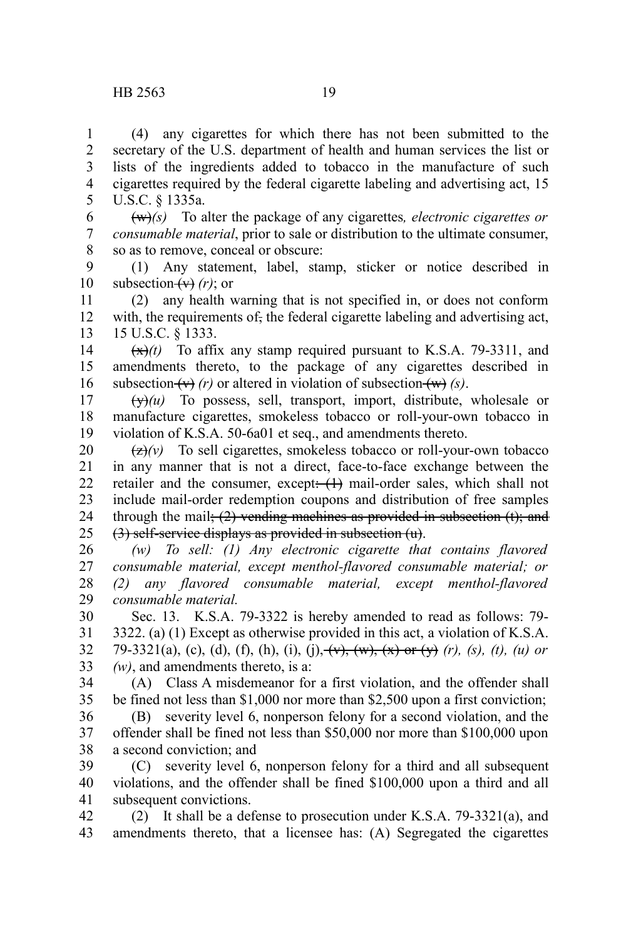(4) any cigarettes for which there has not been submitted to the secretary of the U.S. department of health and human services the list or lists of the ingredients added to tobacco in the manufacture of such cigarettes required by the federal cigarette labeling and advertising act, 15 U.S.C. § 1335a. 1 2 3 4 5

(w)*(s)* To alter the package of any cigarettes*, electronic cigarettes or consumable material*, prior to sale or distribution to the ultimate consumer, so as to remove, conceal or obscure: 6 7 8

(1) Any statement, label, stamp, sticker or notice described in subsection  $(v)$  (*r*); or 9 10

(2) any health warning that is not specified in, or does not conform with, the requirements of, the federal cigarette labeling and advertising act, 15 U.S.C. § 1333. 11 12 13

 $(\frac{x}{x})(t)$  To affix any stamp required pursuant to K.S.A. 79-3311, and amendments thereto, to the package of any cigarettes described in subsection  $(v)$  (*r*) or altered in violation of subsection  $(w)$  (*s*). 14 15 16

 $(y)$ (*u*) To possess, sell, transport, import, distribute, wholesale or manufacture cigarettes, smokeless tobacco or roll-your-own tobacco in violation of K.S.A. 50-6a01 et seq., and amendments thereto. 17 18 19

 $\left(\frac{z}{z}\right)$  To sell cigarettes, smokeless tobacco or roll-your-own tobacco in any manner that is not a direct, face-to-face exchange between the retailer and the consumer, except: (1) mail-order sales, which shall not include mail-order redemption coupons and distribution of free samples through the mail;  $(2)$  vending machines as provided in subsection  $(t)$ ; and (3) self-service displays as provided in subsection (u). 20 21 22 23 24 25

*(w) To sell: (1) Any electronic cigarette that contains flavored consumable material, except menthol-flavored consumable material; or (2) any flavored consumable material, except menthol-flavored consumable material.* 26 27 28 29

Sec. 13. K.S.A. 79-3322 is hereby amended to read as follows: 79- 3322. (a) (1) Except as otherwise provided in this act, a violation of K.S.A. 79-3321(a), (c), (d), (f), (h), (i), (i),  $(v)$ ,  $(w)$ ,  $(x)$  or  $(v)$  *(r)*, *(s)*, *(t)*, *(u)* or *(w)*, and amendments thereto, is a: 30 31 32 33

(A) Class A misdemeanor for a first violation, and the offender shall be fined not less than \$1,000 nor more than \$2,500 upon a first conviction; 34 35

(B) severity level 6, nonperson felony for a second violation, and the offender shall be fined not less than \$50,000 nor more than \$100,000 upon a second conviction; and 36 37 38

(C) severity level 6, nonperson felony for a third and all subsequent violations, and the offender shall be fined \$100,000 upon a third and all subsequent convictions. 39 40 41

(2) It shall be a defense to prosecution under K.S.A. 79-3321(a), and amendments thereto, that a licensee has: (A) Segregated the cigarettes 42 43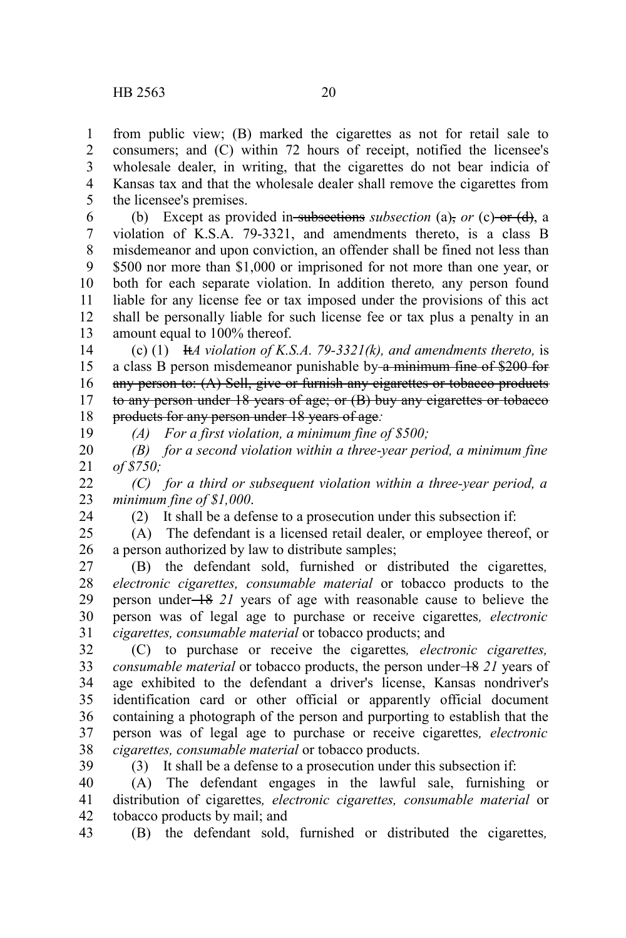from public view; (B) marked the cigarettes as not for retail sale to consumers; and (C) within 72 hours of receipt, notified the licensee's wholesale dealer, in writing, that the cigarettes do not bear indicia of Kansas tax and that the wholesale dealer shall remove the cigarettes from the licensee's premises. 1 2 3 4 5

(b) Except as provided in subsections *subsection* (a), *or* (c) or (d), a violation of K.S.A. 79-3321, and amendments thereto, is a class B misdemeanor and upon conviction, an offender shall be fined not less than \$500 nor more than \$1,000 or imprisoned for not more than one year, or both for each separate violation. In addition thereto*,* any person found liable for any license fee or tax imposed under the provisions of this act shall be personally liable for such license fee or tax plus a penalty in an amount equal to 100% thereof. 6 7 8 9 10 11 12 13

(c) (1) It*A violation of K.S.A. 79-3321(k), and amendments thereto,* is a class B person misdemeanor punishable by a minimum fine of \$200 for any person to: (A) Sell, give or furnish any eigarettes or tobacco products to any person under 18 years of age; or (B) buy any cigarettes or tobacco products for any person under 18 years of age*:* 14 15 16 17 18

19

24

*(A) For a first violation, a minimum fine of \$500;*

*(B) for a second violation within a three-year period, a minimum fine of \$750;* 20 21

*(C) for a third or subsequent violation within a three-year period, a minimum fine of \$1,000*. 22 23

(2) It shall be a defense to a prosecution under this subsection if:

(A) The defendant is a licensed retail dealer, or employee thereof, or a person authorized by law to distribute samples; 25 26

(B) the defendant sold, furnished or distributed the cigarettes*, electronic cigarettes, consumable material* or tobacco products to the person under 18 *21* years of age with reasonable cause to believe the person was of legal age to purchase or receive cigarettes*, electronic cigarettes, consumable material* or tobacco products; and 27 28 29 30 31

(C) to purchase or receive the cigarettes*, electronic cigarettes, consumable material* or tobacco products, the person under  $\frac{18}{21}$  years of age exhibited to the defendant a driver's license, Kansas nondriver's identification card or other official or apparently official document containing a photograph of the person and purporting to establish that the person was of legal age to purchase or receive cigarettes*, electronic cigarettes, consumable material* or tobacco products. 32 33 34 35 36 37 38

39

(3) It shall be a defense to a prosecution under this subsection if:

(A) The defendant engages in the lawful sale, furnishing or distribution of cigarettes*, electronic cigarettes, consumable material* or tobacco products by mail; and 40 41 42

(B) the defendant sold, furnished or distributed the cigarettes*,* 43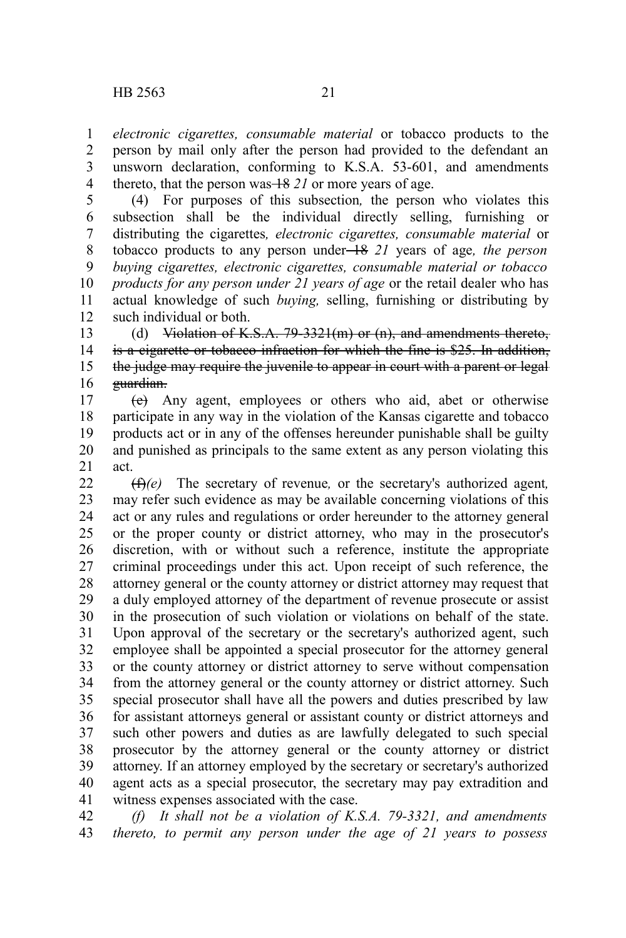*electronic cigarettes, consumable material* or tobacco products to the person by mail only after the person had provided to the defendant an unsworn declaration, conforming to K.S.A. 53-601, and amendments thereto, that the person was  $\frac{18}{21}$  or more years of age. 1 2 3 4

(4) For purposes of this subsection*,* the person who violates this subsection shall be the individual directly selling, furnishing or distributing the cigarettes*, electronic cigarettes, consumable material* or tobacco products to any person under 18 *21* years of age*, the person buying cigarettes, electronic cigarettes, consumable material or tobacco products for any person under 21 years of age* or the retail dealer who has actual knowledge of such *buying,* selling, furnishing or distributing by such individual or both. 5 6 7 8 9 10 11 12

(d) Violation of K.S.A. 79-3321(m) or (n), and amendments thereto, is a cigarette or tobacco infraction for which the fine is \$25. In addition, the judge may require the juvenile to appear in court with a parent or legal guardian. 13 14 15 16

(e) Any agent, employees or others who aid, abet or otherwise participate in any way in the violation of the Kansas cigarette and tobacco products act or in any of the offenses hereunder punishable shall be guilty and punished as principals to the same extent as any person violating this act. 17 18 19 20 21

(f)*(e)* The secretary of revenue*,* or the secretary's authorized agent*,* may refer such evidence as may be available concerning violations of this act or any rules and regulations or order hereunder to the attorney general or the proper county or district attorney, who may in the prosecutor's discretion, with or without such a reference, institute the appropriate criminal proceedings under this act. Upon receipt of such reference, the attorney general or the county attorney or district attorney may request that a duly employed attorney of the department of revenue prosecute or assist in the prosecution of such violation or violations on behalf of the state. Upon approval of the secretary or the secretary's authorized agent, such employee shall be appointed a special prosecutor for the attorney general or the county attorney or district attorney to serve without compensation from the attorney general or the county attorney or district attorney. Such special prosecutor shall have all the powers and duties prescribed by law for assistant attorneys general or assistant county or district attorneys and such other powers and duties as are lawfully delegated to such special prosecutor by the attorney general or the county attorney or district attorney. If an attorney employed by the secretary or secretary's authorized agent acts as a special prosecutor, the secretary may pay extradition and witness expenses associated with the case. 22 23 24 25 26 27 28 29 30 31 32 33 34 35 36 37 38 39 40 41

*(f) It shall not be a violation of K.S.A. 79-3321, and amendments thereto, to permit any person under the age of 21 years to possess* 42 43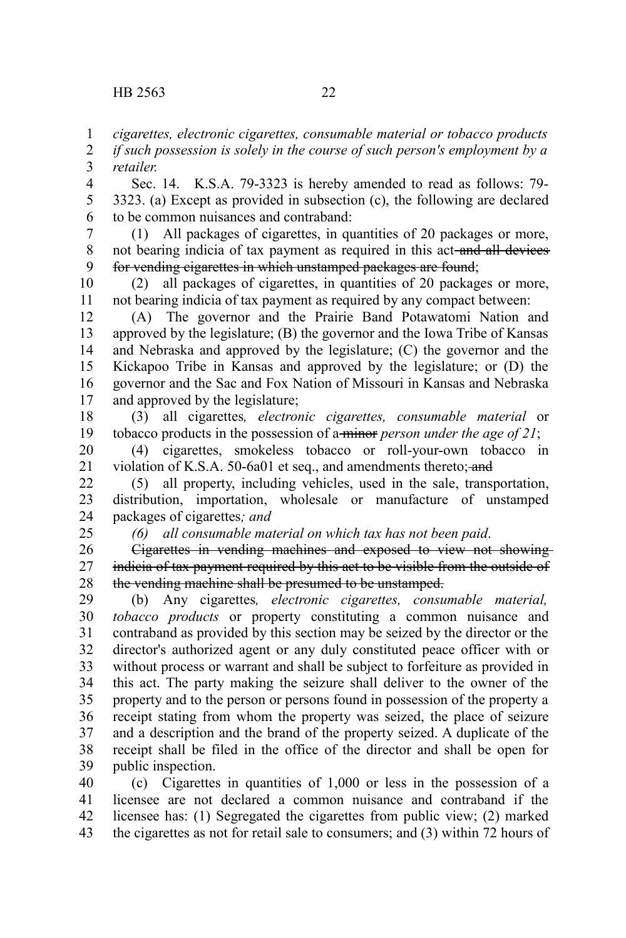25

*cigarettes, electronic cigarettes, consumable material or tobacco products* 1

*if such possession is solely in the course of such person's employment by a retailer.* 2 3

Sec. 14. K.S.A. 79-3323 is hereby amended to read as follows: 79- 3323. (a) Except as provided in subsection (c), the following are declared to be common nuisances and contraband: 4 5 6

(1) All packages of cigarettes, in quantities of 20 packages or more, not bearing indicia of tax payment as required in this act-and all devices for vending cigarettes in which unstamped packages are found; 7 8 9

(2) all packages of cigarettes, in quantities of 20 packages or more, not bearing indicia of tax payment as required by any compact between: 10 11

(A) The governor and the Prairie Band Potawatomi Nation and approved by the legislature; (B) the governor and the Iowa Tribe of Kansas and Nebraska and approved by the legislature; (C) the governor and the Kickapoo Tribe in Kansas and approved by the legislature; or (D) the governor and the Sac and Fox Nation of Missouri in Kansas and Nebraska and approved by the legislature; 12 13 14 15 16 17

(3) all cigarettes*, electronic cigarettes, consumable material* or tobacco products in the possession of a minor *person under the age of 21*; 18 19

(4) cigarettes, smokeless tobacco or roll-your-own tobacco in violation of K.S.A. 50-6a01 et seq., and amendments thereto; and 20 21

(5) all property, including vehicles, used in the sale, transportation, distribution, importation, wholesale or manufacture of unstamped packages of cigarettes*; and* 22 23 24

*(6) all consumable material on which tax has not been paid*.

Cigarettes in vending machines and exposed to view not showing indicia of tax payment required by this act to be visible from the outside of the vending machine shall be presumed to be unstamped. 26 27 28

(b) Any cigarettes*, electronic cigarettes, consumable material, tobacco products* or property constituting a common nuisance and contraband as provided by this section may be seized by the director or the director's authorized agent or any duly constituted peace officer with or without process or warrant and shall be subject to forfeiture as provided in this act. The party making the seizure shall deliver to the owner of the property and to the person or persons found in possession of the property a receipt stating from whom the property was seized, the place of seizure and a description and the brand of the property seized. A duplicate of the receipt shall be filed in the office of the director and shall be open for public inspection. 29 30 31 32 33 34 35 36 37 38 39

(c) Cigarettes in quantities of 1,000 or less in the possession of a licensee are not declared a common nuisance and contraband if the licensee has: (1) Segregated the cigarettes from public view; (2) marked the cigarettes as not for retail sale to consumers; and (3) within 72 hours of 40 41 42 43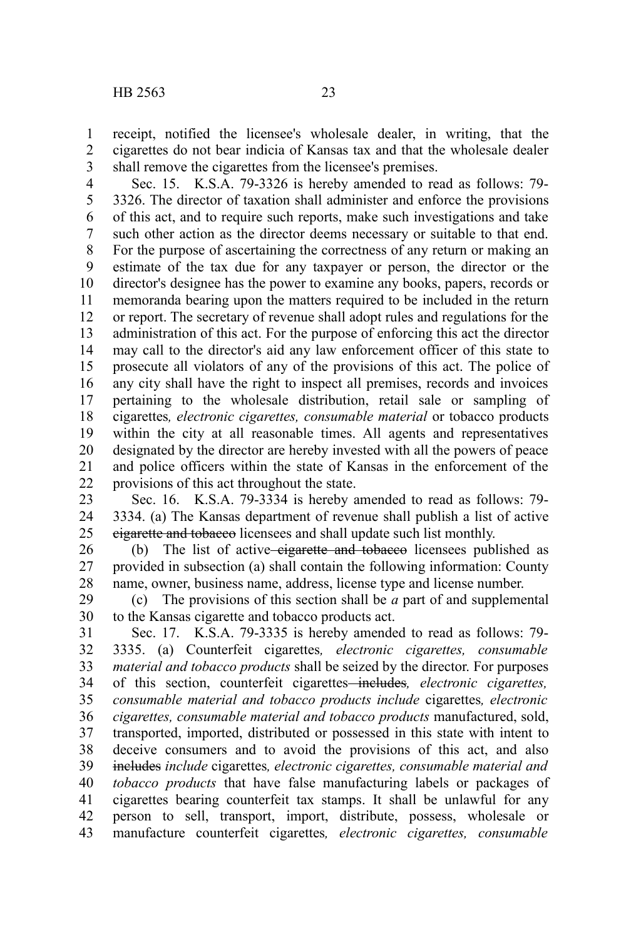receipt, notified the licensee's wholesale dealer, in writing, that the cigarettes do not bear indicia of Kansas tax and that the wholesale dealer shall remove the cigarettes from the licensee's premises. 1 2 3

Sec. 15. K.S.A. 79-3326 is hereby amended to read as follows: 79- 3326. The director of taxation shall administer and enforce the provisions of this act, and to require such reports, make such investigations and take such other action as the director deems necessary or suitable to that end. For the purpose of ascertaining the correctness of any return or making an estimate of the tax due for any taxpayer or person, the director or the director's designee has the power to examine any books, papers, records or memoranda bearing upon the matters required to be included in the return or report. The secretary of revenue shall adopt rules and regulations for the administration of this act. For the purpose of enforcing this act the director may call to the director's aid any law enforcement officer of this state to prosecute all violators of any of the provisions of this act. The police of any city shall have the right to inspect all premises, records and invoices pertaining to the wholesale distribution, retail sale or sampling of cigarettes*, electronic cigarettes, consumable material* or tobacco products within the city at all reasonable times. All agents and representatives designated by the director are hereby invested with all the powers of peace and police officers within the state of Kansas in the enforcement of the provisions of this act throughout the state. 4 5 6 7 8 9 10 11 12 13 14 15 16 17 18 19 20 21 22

Sec. 16. K.S.A. 79-3334 is hereby amended to read as follows: 79- 3334. (a) The Kansas department of revenue shall publish a list of active cigarette and tobacco licensees and shall update such list monthly. 23 24 25

(b) The list of active-eigarette and tobacco licensees published as provided in subsection (a) shall contain the following information: County name, owner, business name, address, license type and license number. 26 27 28

(c) The provisions of this section shall be *a* part of and supplemental to the Kansas cigarette and tobacco products act. 29 30

Sec. 17. K.S.A. 79-3335 is hereby amended to read as follows: 79- 3335. (a) Counterfeit cigarettes*, electronic cigarettes, consumable material and tobacco products* shall be seized by the director. For purposes of this section, counterfeit cigarettes includes*, electronic cigarettes, consumable material and tobacco products include* cigarettes*, electronic cigarettes, consumable material and tobacco products* manufactured, sold, transported, imported, distributed or possessed in this state with intent to deceive consumers and to avoid the provisions of this act, and also includes *include* cigarettes*, electronic cigarettes, consumable material and tobacco products* that have false manufacturing labels or packages of cigarettes bearing counterfeit tax stamps. It shall be unlawful for any person to sell, transport, import, distribute, possess, wholesale or manufacture counterfeit cigarettes*, electronic cigarettes, consumable* 31 32 33 34 35 36 37 38 39 40 41 42 43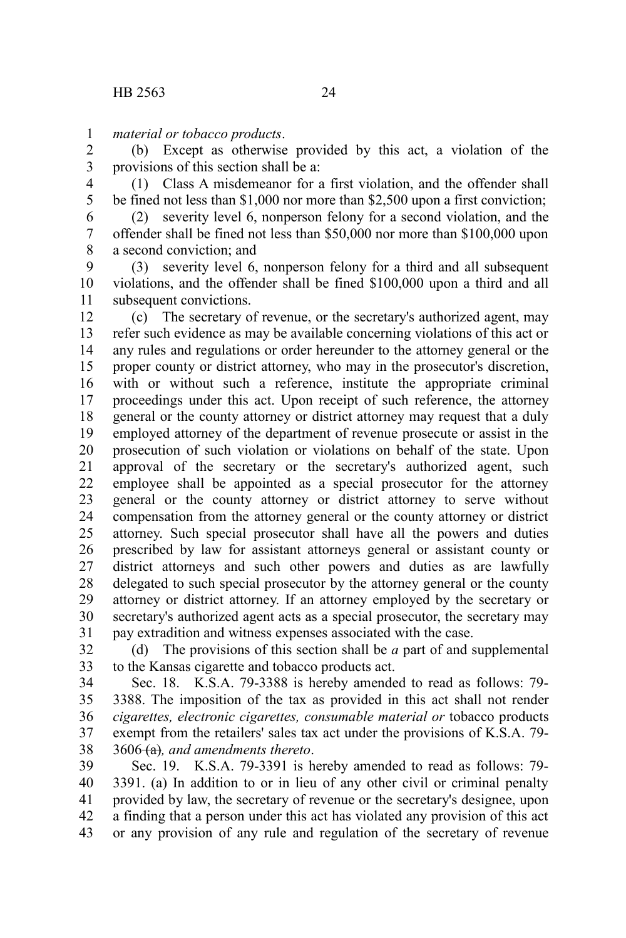*material or tobacco products*. 1

(b) Except as otherwise provided by this act, a violation of the provisions of this section shall be a: 2 3

(1) Class A misdemeanor for a first violation, and the offender shall be fined not less than \$1,000 nor more than \$2,500 upon a first conviction; 4 5

(2) severity level 6, nonperson felony for a second violation, and the offender shall be fined not less than \$50,000 nor more than \$100,000 upon a second conviction; and 6 7 8

(3) severity level 6, nonperson felony for a third and all subsequent violations, and the offender shall be fined \$100,000 upon a third and all subsequent convictions. 9 10 11

(c) The secretary of revenue, or the secretary's authorized agent, may refer such evidence as may be available concerning violations of this act or any rules and regulations or order hereunder to the attorney general or the proper county or district attorney, who may in the prosecutor's discretion, with or without such a reference, institute the appropriate criminal proceedings under this act. Upon receipt of such reference, the attorney general or the county attorney or district attorney may request that a duly employed attorney of the department of revenue prosecute or assist in the prosecution of such violation or violations on behalf of the state. Upon approval of the secretary or the secretary's authorized agent, such employee shall be appointed as a special prosecutor for the attorney general or the county attorney or district attorney to serve without compensation from the attorney general or the county attorney or district attorney. Such special prosecutor shall have all the powers and duties prescribed by law for assistant attorneys general or assistant county or district attorneys and such other powers and duties as are lawfully delegated to such special prosecutor by the attorney general or the county attorney or district attorney. If an attorney employed by the secretary or secretary's authorized agent acts as a special prosecutor, the secretary may pay extradition and witness expenses associated with the case. 12 13 14 15 16 17 18 19 20 21 22 23 24 25 26 27 28 29 30 31

(d) The provisions of this section shall be *a* part of and supplemental to the Kansas cigarette and tobacco products act. 32 33

Sec. 18. K.S.A. 79-3388 is hereby amended to read as follows: 79- 3388. The imposition of the tax as provided in this act shall not render *cigarettes, electronic cigarettes, consumable material or* tobacco products exempt from the retailers' sales tax act under the provisions of K.S.A. 79- 3606 (a)*, and amendments thereto*. 34 35 36 37 38

Sec. 19. K.S.A. 79-3391 is hereby amended to read as follows: 79- 3391. (a) In addition to or in lieu of any other civil or criminal penalty provided by law, the secretary of revenue or the secretary's designee, upon a finding that a person under this act has violated any provision of this act or any provision of any rule and regulation of the secretary of revenue 39 40 41 42 43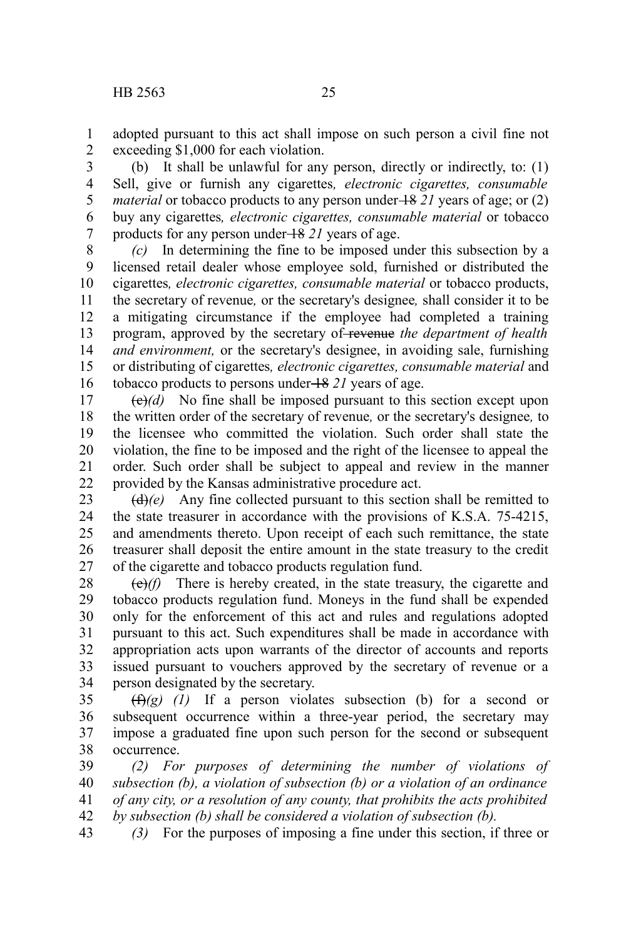adopted pursuant to this act shall impose on such person a civil fine not exceeding \$1,000 for each violation. 1 2

(b) It shall be unlawful for any person, directly or indirectly, to: (1) Sell, give or furnish any cigarettes*, electronic cigarettes, consumable material* or tobacco products to any person under  $\frac{18}{21}$  years of age; or (2) buy any cigarettes*, electronic cigarettes, consumable material* or tobacco products for any person under 18 *21* years of age. 3 4 5 6 7

*(c)* In determining the fine to be imposed under this subsection by a licensed retail dealer whose employee sold, furnished or distributed the cigarettes*, electronic cigarettes, consumable material* or tobacco products, the secretary of revenue*,* or the secretary's designee*,* shall consider it to be a mitigating circumstance if the employee had completed a training program, approved by the secretary of revenue *the department of health and environment,* or the secretary's designee, in avoiding sale, furnishing or distributing of cigarettes*, electronic cigarettes, consumable material* and tobacco products to persons under 18 *21* years of age. 8 9 10 11 12 13 14 15 16

 $\Theta(d)$  No fine shall be imposed pursuant to this section except upon the written order of the secretary of revenue*,* or the secretary's designee*,* to the licensee who committed the violation. Such order shall state the violation, the fine to be imposed and the right of the licensee to appeal the order. Such order shall be subject to appeal and review in the manner provided by the Kansas administrative procedure act. 17 18 19 20 21 22

 $(d)(e)$  Any fine collected pursuant to this section shall be remitted to the state treasurer in accordance with the provisions of K.S.A. 75-4215, and amendments thereto. Upon receipt of each such remittance, the state treasurer shall deposit the entire amount in the state treasury to the credit of the cigarette and tobacco products regulation fund. 23 24 25 26 27

(e)*(f)* There is hereby created, in the state treasury, the cigarette and tobacco products regulation fund. Moneys in the fund shall be expended only for the enforcement of this act and rules and regulations adopted pursuant to this act. Such expenditures shall be made in accordance with appropriation acts upon warrants of the director of accounts and reports issued pursuant to vouchers approved by the secretary of revenue or a person designated by the secretary. 28 29 30 31 32 33 34

 $(f(x)(g)$  (1) If a person violates subsection (b) for a second or subsequent occurrence within a three-year period, the secretary may impose a graduated fine upon such person for the second or subsequent occurrence. 35 36 37 38

*(2) For purposes of determining the number of violations of subsection (b), a violation of subsection (b) or a violation of an ordinance of any city, or a resolution of any county, that prohibits the acts prohibited by subsection (b) shall be considered a violation of subsection (b).* 39 40 41 42

*(3)* For the purposes of imposing a fine under this section, if three or 43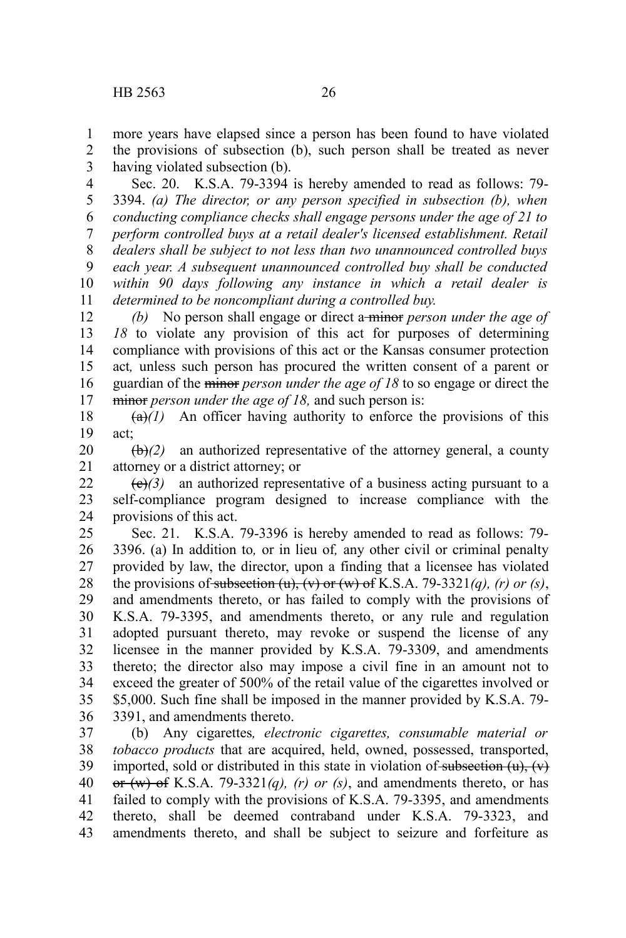more years have elapsed since a person has been found to have violated the provisions of subsection (b), such person shall be treated as never having violated subsection (b). 1 2 3

Sec. 20. K.S.A. 79-3394 is hereby amended to read as follows: 79- 3394. *(a) The director, or any person specified in subsection (b), when conducting compliance checks shall engage persons under the age of 21 to perform controlled buys at a retail dealer's licensed establishment. Retail dealers shall be subject to not less than two unannounced controlled buys each year. A subsequent unannounced controlled buy shall be conducted within 90 days following any instance in which a retail dealer is determined to be noncompliant during a controlled buy.* 4 5 6 7 8 9 10 11

*(b)* No person shall engage or direct a minor *person under the age of 18* to violate any provision of this act for purposes of determining compliance with provisions of this act or the Kansas consumer protection act*,* unless such person has procured the written consent of a parent or guardian of the minor *person under the age of 18* to so engage or direct the minor *person under the age of 18,* and such person is: 12 13 14 15 16 17

 $(a)$ <sup>(a)</sup> $(1)$  An officer having authority to enforce the provisions of this act; 18 19

 $\left(\frac{b}{c}\right)$  an authorized representative of the attorney general, a county attorney or a district attorney; or 20 21

 $\left(\frac{e}{c}\right)$  an authorized representative of a business acting pursuant to a self-compliance program designed to increase compliance with the provisions of this act. 22 23 24

Sec. 21. K.S.A. 79-3396 is hereby amended to read as follows: 79- 3396. (a) In addition to*,* or in lieu of*,* any other civil or criminal penalty provided by law, the director, upon a finding that a licensee has violated the provisions of subsection  $(u)$ ,  $(v)$  or  $(w)$  of K.S.A. 79-3321 $(a)$ ,  $(r)$  or  $(s)$ , and amendments thereto, or has failed to comply with the provisions of K.S.A. 79-3395, and amendments thereto, or any rule and regulation adopted pursuant thereto, may revoke or suspend the license of any licensee in the manner provided by K.S.A. 79-3309, and amendments thereto; the director also may impose a civil fine in an amount not to exceed the greater of 500% of the retail value of the cigarettes involved or \$5,000. Such fine shall be imposed in the manner provided by K.S.A. 79- 3391, and amendments thereto. 25 26 27 28 29 30 31 32 33 34 35 36

(b) Any cigarettes*, electronic cigarettes, consumable material or tobacco products* that are acquired, held, owned, possessed, transported, imported, sold or distributed in this state in violation of subsection  $(u)$ ,  $(v)$ or (w) of K.S.A. 79-3321*(q), (r) or (s)*, and amendments thereto, or has failed to comply with the provisions of K.S.A. 79-3395, and amendments thereto, shall be deemed contraband under K.S.A. 79-3323, and amendments thereto, and shall be subject to seizure and forfeiture as 37 38 39 40 41 42 43